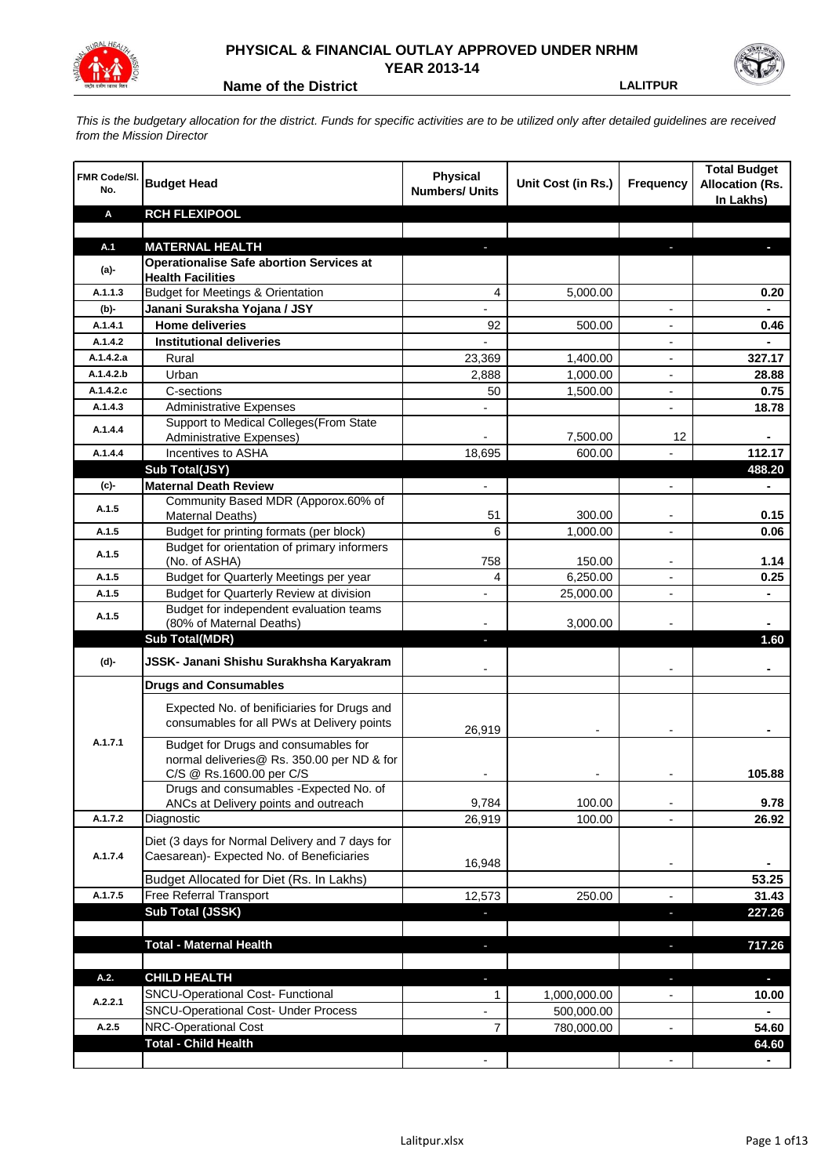

## **PHYSICAL & FINANCIAL OUTLAY APPROVED UNDER NRHM YEAR 2013-14**

**Name of the District LALITPUR** 

*This is the budgetary allocation for the district. Funds for specific activities are to be utilized only after detailed guidelines are received from the Mission Director*

| FMR Code/SI.<br>No. | <b>Budget Head</b>                                                       | <b>Physical</b><br><b>Numbers/ Units</b> | Unit Cost (in Rs.)   | <b>Frequency</b>         | <b>Total Budget</b><br><b>Allocation (Rs.</b><br>In Lakhs) |
|---------------------|--------------------------------------------------------------------------|------------------------------------------|----------------------|--------------------------|------------------------------------------------------------|
| Α                   | <b>RCH FLEXIPOOL</b>                                                     |                                          |                      |                          |                                                            |
|                     |                                                                          |                                          |                      |                          |                                                            |
| A.1                 | <b>MATERNAL HEALTH</b>                                                   |                                          |                      |                          |                                                            |
| $(a)$ -             | <b>Operationalise Safe abortion Services at</b>                          |                                          |                      |                          |                                                            |
| A.1.1.3             | <b>Health Facilities</b><br><b>Budget for Meetings &amp; Orientation</b> |                                          |                      |                          |                                                            |
|                     | Janani Suraksha Yojana / JSY                                             | 4                                        | 5,000.00             |                          | 0.20                                                       |
| (b)-<br>A.1.4.1     | <b>Home deliveries</b>                                                   | 92                                       | 500.00               |                          |                                                            |
| A.1.4.2             | <b>Institutional deliveries</b>                                          |                                          |                      |                          | 0.46                                                       |
| A.1.4.2.a           | Rural                                                                    |                                          |                      |                          | 327.17                                                     |
| A.1.4.2.b           | Urban                                                                    | 23,369<br>2,888                          | 1,400.00<br>1,000.00 |                          | 28.88                                                      |
| A.1.4.2.c           | C-sections                                                               | 50                                       |                      |                          | 0.75                                                       |
| A.1.4.3             | <b>Administrative Expenses</b>                                           |                                          | 1,500.00             | $\overline{a}$           | 18.78                                                      |
|                     | Support to Medical Colleges (From State                                  |                                          |                      |                          |                                                            |
| A.1.4.4             | Administrative Expenses)                                                 |                                          | 7,500.00             | 12                       |                                                            |
| A.1.4.4             | Incentives to ASHA                                                       | 18,695                                   | 600.00               |                          | 112.17                                                     |
|                     | Sub Total(JSY)                                                           |                                          |                      |                          | 488.20                                                     |
| (c)-                | <b>Maternal Death Review</b>                                             | $\overline{\phantom{a}}$                 |                      | $\overline{\phantom{a}}$ |                                                            |
|                     | Community Based MDR (Apporox.60% of                                      |                                          |                      |                          |                                                            |
| A.1.5               | Maternal Deaths)                                                         | 51                                       | 300.00               | $\blacksquare$           | 0.15                                                       |
| A.1.5               | Budget for printing formats (per block)                                  | 6                                        | 1,000.00             |                          | 0.06                                                       |
| A.1.5               | Budget for orientation of primary informers                              |                                          |                      |                          |                                                            |
|                     | (No. of ASHA)                                                            | 758                                      | 150.00               | $\overline{\phantom{a}}$ | 1.14                                                       |
| A.1.5               | Budget for Quarterly Meetings per year                                   | 4                                        | 6,250.00             |                          | 0.25                                                       |
| A.1.5               | Budget for Quarterly Review at division                                  | $\overline{\phantom{a}}$                 | 25,000.00            |                          |                                                            |
| A.1.5               | Budget for independent evaluation teams<br>(80% of Maternal Deaths)      |                                          | 3,000.00             |                          |                                                            |
|                     | <b>Sub Total(MDR)</b>                                                    | L.                                       |                      |                          | 1.60                                                       |
|                     |                                                                          |                                          |                      |                          |                                                            |
| (d)-                | JSSK- Janani Shishu Surakhsha Karyakram                                  |                                          |                      |                          |                                                            |
|                     | <b>Drugs and Consumables</b>                                             |                                          |                      |                          |                                                            |
|                     | Expected No. of benificiaries for Drugs and                              |                                          |                      |                          |                                                            |
|                     | consumables for all PWs at Delivery points                               | 26,919                                   |                      |                          |                                                            |
| A.1.7.1             | Budget for Drugs and consumables for                                     |                                          |                      |                          |                                                            |
|                     | normal deliveries@ Rs. 350.00 per ND & for                               |                                          |                      |                          |                                                            |
|                     | C/S @ Rs.1600.00 per C/S                                                 |                                          |                      |                          | 105.88                                                     |
|                     | Drugs and consumables - Expected No. of                                  |                                          |                      |                          |                                                            |
|                     | ANCs at Delivery points and outreach                                     | 9,784                                    | 100.00               |                          | 9.78                                                       |
| A.1.7.2             | Diagnostic                                                               | 26,919                                   | 100.00               |                          | 26.92                                                      |
|                     | Diet (3 days for Normal Delivery and 7 days for                          |                                          |                      |                          |                                                            |
| A.1.7.4             | Caesarean)- Expected No. of Beneficiaries                                | 16,948                                   |                      |                          |                                                            |
|                     | Budget Allocated for Diet (Rs. In Lakhs)                                 |                                          |                      | $\overline{\phantom{a}}$ | 53.25                                                      |
| A.1.7.5             | Free Referral Transport                                                  | 12,573                                   | 250.00               | $\overline{a}$           | 31.43                                                      |
|                     | Sub Total (JSSK)                                                         |                                          |                      |                          | 227.26                                                     |
|                     |                                                                          |                                          |                      | ×,                       |                                                            |
|                     | <b>Total - Maternal Health</b>                                           | L.                                       |                      | b.                       | 717.26                                                     |
|                     |                                                                          |                                          |                      |                          |                                                            |
| A.2.                | <b>CHILD HEALTH</b>                                                      |                                          |                      |                          | ٠                                                          |
|                     | SNCU-Operational Cost- Functional                                        | 1                                        | 1,000,000.00         |                          | 10.00                                                      |
| A.2.2.1             | <b>SNCU-Operational Cost- Under Process</b>                              |                                          | 500,000.00           |                          |                                                            |
| A.2.5               | NRC-Operational Cost                                                     | $\overline{7}$                           | 780,000.00           |                          | 54.60                                                      |
|                     | <b>Total - Child Health</b>                                              |                                          |                      |                          | 64.60                                                      |
|                     |                                                                          |                                          |                      |                          |                                                            |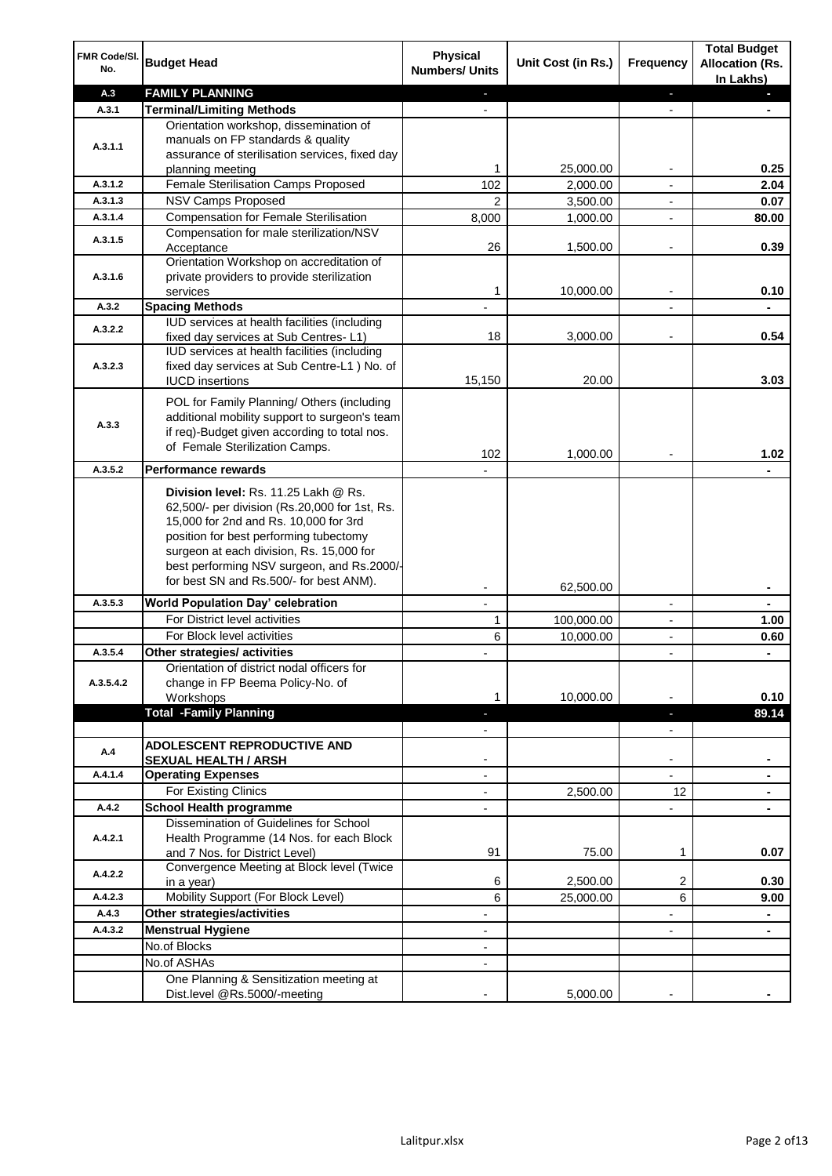| FMR Code/SI.<br>No.  | <b>Budget Head</b>                                                                                                                                                                                                                                                                                            | <b>Physical</b><br><b>Numbers/ Units</b>             | Unit Cost (in Rs.) | <b>Frequency</b>              | <b>Total Budget</b><br><b>Allocation (Rs.</b><br>In Lakhs) |
|----------------------|---------------------------------------------------------------------------------------------------------------------------------------------------------------------------------------------------------------------------------------------------------------------------------------------------------------|------------------------------------------------------|--------------------|-------------------------------|------------------------------------------------------------|
| A.3                  | <b>FAMILY PLANNING</b>                                                                                                                                                                                                                                                                                        | $\sim$                                               |                    | $\overline{\phantom{a}}$      | $\sim$                                                     |
| A.3.1                | <b>Terminal/Limiting Methods</b>                                                                                                                                                                                                                                                                              |                                                      |                    |                               |                                                            |
| A.3.1.1              | Orientation workshop, dissemination of<br>manuals on FP standards & quality<br>assurance of sterilisation services, fixed day<br>planning meeting                                                                                                                                                             | 1                                                    | 25,000.00          | $\overline{\phantom{a}}$      | 0.25                                                       |
| A.3.1.2              | Female Sterilisation Camps Proposed                                                                                                                                                                                                                                                                           | 102                                                  | 2,000.00           |                               | 2.04                                                       |
| A.3.1.3              | <b>NSV Camps Proposed</b>                                                                                                                                                                                                                                                                                     | $\overline{2}$                                       | 3,500.00           |                               | 0.07                                                       |
| A.3.1.4              | <b>Compensation for Female Sterilisation</b>                                                                                                                                                                                                                                                                  | 8,000                                                | 1,000.00           | $\overline{\phantom{a}}$      | 80.00                                                      |
| A.3.1.5              | Compensation for male sterilization/NSV<br>Acceptance                                                                                                                                                                                                                                                         | 26                                                   | 1,500.00           |                               | 0.39                                                       |
| A.3.1.6              | Orientation Workshop on accreditation of<br>private providers to provide sterilization<br>services                                                                                                                                                                                                            | 1                                                    | 10,000.00          | $\blacksquare$                | 0.10                                                       |
| A.3.2                | <b>Spacing Methods</b>                                                                                                                                                                                                                                                                                        |                                                      |                    |                               | ۰                                                          |
| A.3.2.2              | IUD services at health facilities (including<br>fixed day services at Sub Centres-L1)                                                                                                                                                                                                                         | 18                                                   | 3,000.00           |                               | 0.54                                                       |
| A.3.2.3              | IUD services at health facilities (including<br>fixed day services at Sub Centre-L1 ) No. of<br><b>IUCD</b> insertions                                                                                                                                                                                        | 15,150                                               | 20.00              | $\overline{\phantom{a}}$      | 3.03                                                       |
| A.3.3                | POL for Family Planning/ Others (including<br>additional mobility support to surgeon's team<br>if req)-Budget given according to total nos.<br>of Female Sterilization Camps.                                                                                                                                 | 102                                                  | 1,000.00           |                               | 1.02                                                       |
| A.3.5.2              | <b>Performance rewards</b>                                                                                                                                                                                                                                                                                    |                                                      |                    |                               |                                                            |
|                      | Division level: Rs. 11.25 Lakh @ Rs.<br>62,500/- per division (Rs.20,000 for 1st, Rs.<br>15,000 for 2nd and Rs. 10,000 for 3rd<br>position for best performing tubectomy<br>surgeon at each division, Rs. 15,000 for<br>best performing NSV surgeon, and Rs.2000/-<br>for best SN and Rs.500/- for best ANM). |                                                      |                    |                               |                                                            |
|                      |                                                                                                                                                                                                                                                                                                               |                                                      | 62,500.00          |                               | ۰                                                          |
| A.3.5.3              | World Population Day' celebration                                                                                                                                                                                                                                                                             |                                                      |                    |                               |                                                            |
|                      | For District level activities                                                                                                                                                                                                                                                                                 | 1                                                    | 100,000.00         |                               | 1.00                                                       |
|                      | For Block level activities                                                                                                                                                                                                                                                                                    | 6                                                    | 10,000.00          | $\blacksquare$                | 0.60                                                       |
| A.3.5.4<br>A.3.5.4.2 | Other strategies/ activities<br>Orientation of district nodal officers for<br>change in FP Beema Policy-No. of<br>Workshops                                                                                                                                                                                   | 1                                                    | 10,000.00          |                               | 0.10                                                       |
|                      | <b>Total -Family Planning</b>                                                                                                                                                                                                                                                                                 | $\overline{\phantom{a}}$<br>$\overline{\phantom{a}}$ |                    | ٠<br>$\overline{\phantom{a}}$ | 89.14                                                      |
| A.4                  | ADOLESCENT REPRODUCTIVE AND<br><b>SEXUAL HEALTH / ARSH</b>                                                                                                                                                                                                                                                    |                                                      |                    | $\blacksquare$                |                                                            |
| A.4.1.4              | <b>Operating Expenses</b>                                                                                                                                                                                                                                                                                     |                                                      |                    |                               |                                                            |
|                      | For Existing Clinics                                                                                                                                                                                                                                                                                          | $\blacksquare$                                       | 2,500.00           | 12                            | ۰                                                          |
| A.4.2                | <b>School Health programme</b>                                                                                                                                                                                                                                                                                | $\blacksquare$                                       |                    | $\overline{a}$                |                                                            |
| A.4.2.1              | Dissemination of Guidelines for School<br>Health Programme (14 Nos. for each Block<br>and 7 Nos. for District Level)                                                                                                                                                                                          | 91                                                   | 75.00              | 1                             | 0.07                                                       |
| A.4.2.2              | Convergence Meeting at Block level (Twice<br>in a year)                                                                                                                                                                                                                                                       | 6                                                    | 2,500.00           | 2                             | 0.30                                                       |
| A.4.2.3              | Mobility Support (For Block Level)                                                                                                                                                                                                                                                                            | 6                                                    | 25,000.00          | 6                             | 9.00                                                       |
| A.4.3                | Other strategies/activities                                                                                                                                                                                                                                                                                   | $\overline{\phantom{a}}$                             |                    | -                             | ۰                                                          |
| A.4.3.2              | <b>Menstrual Hygiene</b>                                                                                                                                                                                                                                                                                      | $\overline{\phantom{0}}$                             |                    | ٠                             | ٠                                                          |
|                      | No.of Blocks                                                                                                                                                                                                                                                                                                  | -                                                    |                    |                               |                                                            |
|                      | No.of ASHAs                                                                                                                                                                                                                                                                                                   | $\overline{\phantom{a}}$                             |                    |                               |                                                            |
|                      | One Planning & Sensitization meeting at<br>Dist.level @Rs.5000/-meeting                                                                                                                                                                                                                                       |                                                      | 5,000.00           |                               |                                                            |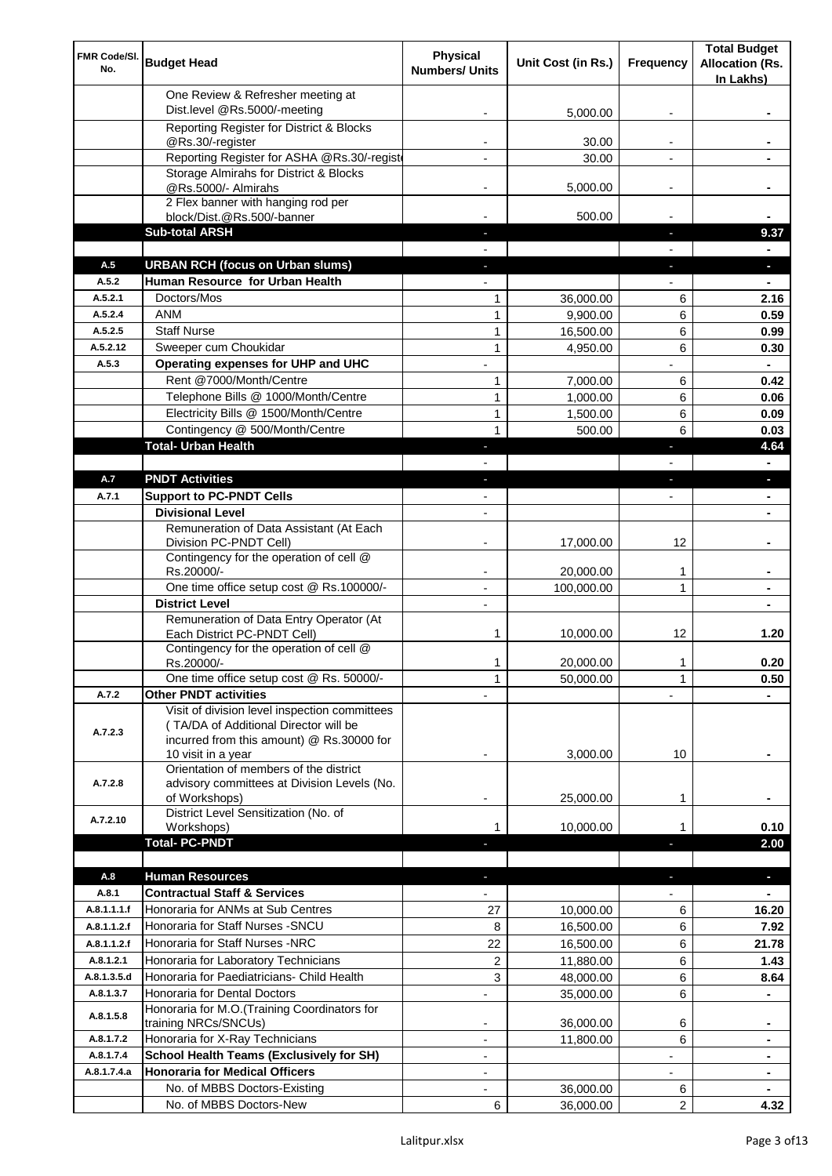| FMR Code/SI.<br>No.        | <b>Budget Head</b>                                                                                                                                        | Physical<br><b>Numbers/ Units</b> | Unit Cost (in Rs.)     | Frequency                | <b>Total Budget</b><br><b>Allocation (Rs.</b><br>In Lakhs) |
|----------------------------|-----------------------------------------------------------------------------------------------------------------------------------------------------------|-----------------------------------|------------------------|--------------------------|------------------------------------------------------------|
|                            | One Review & Refresher meeting at<br>Dist.level @Rs.5000/-meeting                                                                                         |                                   | 5,000.00               |                          |                                                            |
|                            | Reporting Register for District & Blocks                                                                                                                  |                                   |                        |                          |                                                            |
|                            | @Rs.30/-register                                                                                                                                          |                                   | 30.00                  |                          |                                                            |
|                            | Reporting Register for ASHA @Rs.30/-regist                                                                                                                |                                   | 30.00                  |                          |                                                            |
|                            | Storage Almirahs for District & Blocks<br>@Rs.5000/- Almirahs                                                                                             | $\blacksquare$                    | 5,000.00               | $\overline{\phantom{a}}$ |                                                            |
|                            | 2 Flex banner with hanging rod per                                                                                                                        |                                   |                        |                          |                                                            |
|                            | block/Dist.@Rs.500/-banner                                                                                                                                |                                   | 500.00                 |                          |                                                            |
|                            | <b>Sub-total ARSH</b>                                                                                                                                     |                                   |                        | $\sim$                   | 9.37                                                       |
| A.5                        | <b>URBAN RCH (focus on Urban slums)</b>                                                                                                                   |                                   |                        |                          |                                                            |
| A.5.2                      | Human Resource for Urban Health                                                                                                                           |                                   |                        |                          |                                                            |
| A.5.2.1                    | Doctors/Mos                                                                                                                                               | 1                                 | 36,000.00              | 6                        | 2.16                                                       |
| A.5.2.4<br>A.5.2.5         | <b>ANM</b><br><b>Staff Nurse</b>                                                                                                                          | $\mathbf{1}$<br>$\mathbf{1}$      | 9,900.00               | 6                        | 0.59                                                       |
| A.5.2.12                   | Sweeper cum Choukidar                                                                                                                                     | $\mathbf{1}$                      | 16,500.00<br>4,950.00  | 6<br>6                   | 0.99<br>0.30                                               |
| A.5.3                      | Operating expenses for UHP and UHC                                                                                                                        |                                   |                        |                          | $\blacksquare$                                             |
|                            | Rent @7000/Month/Centre                                                                                                                                   | 1                                 | 7,000.00               | 6                        | 0.42                                                       |
|                            | Telephone Bills @ 1000/Month/Centre                                                                                                                       | $\mathbf{1}$                      | 1,000.00               | 6                        | 0.06                                                       |
|                            | Electricity Bills @ 1500/Month/Centre                                                                                                                     | $\mathbf{1}$                      | 1,500.00               | 6                        | 0.09                                                       |
|                            | Contingency @ 500/Month/Centre                                                                                                                            | 1                                 | 500.00                 | 6                        | 0.03                                                       |
|                            | <b>Total- Urban Health</b>                                                                                                                                | $\blacksquare$                    |                        | ×                        | 4.64                                                       |
|                            |                                                                                                                                                           |                                   |                        |                          | $\blacksquare$                                             |
| A.7                        | <b>PNDT Activities</b>                                                                                                                                    | ٠                                 |                        | ×                        | ٠                                                          |
| A.7.1                      | <b>Support to PC-PNDT Cells</b>                                                                                                                           |                                   |                        | $\blacksquare$           | ٠                                                          |
|                            | <b>Divisional Level</b>                                                                                                                                   | $\blacksquare$                    |                        |                          |                                                            |
|                            | Remuneration of Data Assistant (At Each<br>Division PC-PNDT Cell)                                                                                         |                                   | 17,000.00              | 12                       |                                                            |
|                            | Contingency for the operation of cell @<br>Rs.20000/-                                                                                                     |                                   | 20,000.00              | 1                        |                                                            |
|                            | One time office setup cost @ Rs.100000/-                                                                                                                  |                                   | 100,000.00             | 1                        |                                                            |
|                            | <b>District Level</b>                                                                                                                                     | $\overline{\phantom{a}}$          |                        |                          |                                                            |
|                            | Remuneration of Data Entry Operator (At<br>Each District PC-PNDT Cell)                                                                                    | 1                                 | 10,000.00              | 12                       | 1.20                                                       |
|                            | Contingency for the operation of cell @<br>Rs.20000/-                                                                                                     | 1                                 | 20,000.00              | 1                        | 0.20                                                       |
|                            | One time office setup cost @ Rs. 50000/-                                                                                                                  | $\mathbf{1}$                      | 50,000.00              | 1                        | 0.50                                                       |
| A.7.2                      | <b>Other PNDT activities</b>                                                                                                                              |                                   |                        |                          |                                                            |
| A.7.2.3                    | Visit of division level inspection committees<br>(TA/DA of Additional Director will be<br>incurred from this amount) @ Rs.30000 for<br>10 visit in a year |                                   | 3,000.00               | 10                       |                                                            |
| A.7.2.8                    | Orientation of members of the district<br>advisory committees at Division Levels (No.<br>of Workshops)                                                    | ۰                                 | 25,000.00              | 1                        |                                                            |
| A.7.2.10                   | District Level Sensitization (No. of<br>Workshops)                                                                                                        |                                   | 10,000.00              |                          | 0.10                                                       |
|                            | <b>Total- PC-PNDT</b>                                                                                                                                     |                                   |                        |                          | 2.00                                                       |
|                            |                                                                                                                                                           |                                   |                        |                          |                                                            |
| A.8                        | <b>Human Resources</b>                                                                                                                                    |                                   |                        |                          | ÷.                                                         |
| A.8.1                      | <b>Contractual Staff &amp; Services</b><br>Honoraria for ANMs at Sub Centres                                                                              |                                   |                        |                          |                                                            |
| A.8.1.1.1.f<br>A.8.1.1.2.f | Honoraria for Staff Nurses - SNCU                                                                                                                         | 27<br>8                           | 10,000.00              | 6<br>6                   | 16.20                                                      |
| A.8.1.1.2.f                | Honoraria for Staff Nurses -NRC                                                                                                                           | 22                                | 16,500.00<br>16,500.00 | 6                        | 7.92<br>21.78                                              |
| A.8.1.2.1                  | Honoraria for Laboratory Technicians                                                                                                                      | 2                                 | 11,880.00              | 6                        | 1.43                                                       |
| A.8.1.3.5.d                | Honoraria for Paediatricians- Child Health                                                                                                                | 3                                 | 48,000.00              | 6                        | 8.64                                                       |
| A.8.1.3.7                  | Honoraria for Dental Doctors                                                                                                                              | ÷,                                | 35,000.00              | 6                        |                                                            |
| A.8.1.5.8                  | Honoraria for M.O.(Training Coordinators for<br>training NRCs/SNCUs)                                                                                      |                                   | 36,000.00              | 6                        |                                                            |
| A.8.1.7.2                  | Honoraria for X-Ray Technicians                                                                                                                           |                                   | 11,800.00              | 6                        |                                                            |
| A.8.1.7.4                  | <b>School Health Teams (Exclusively for SH)</b>                                                                                                           |                                   |                        |                          | ۰                                                          |
| A.8.1.7.4.a                | <b>Honoraria for Medical Officers</b>                                                                                                                     | $\blacksquare$                    |                        |                          | ۰                                                          |
|                            | No. of MBBS Doctors-Existing                                                                                                                              |                                   | 36,000.00              | 6                        |                                                            |
|                            | No. of MBBS Doctors-New                                                                                                                                   | 6                                 | 36,000.00              | 2                        | 4.32                                                       |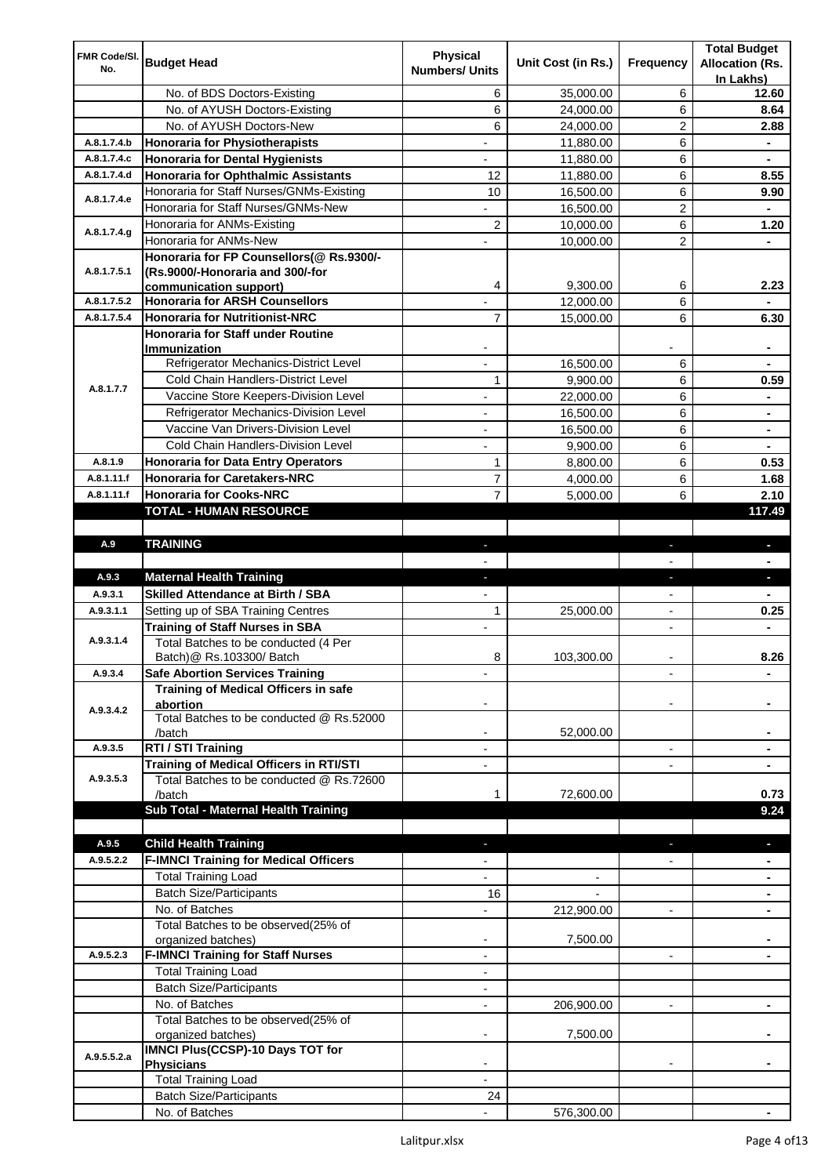| FMR Code/SI. |                                                              | <b>Physical</b>              |                    |                          | <b>Total Budget</b>    |
|--------------|--------------------------------------------------------------|------------------------------|--------------------|--------------------------|------------------------|
| No.          | <b>Budget Head</b>                                           | <b>Numbers/ Units</b>        | Unit Cost (in Rs.) | Frequency                | <b>Allocation (Rs.</b> |
|              |                                                              |                              |                    |                          | In Lakhs)              |
|              | No. of BDS Doctors-Existing                                  | 6                            | 35,000.00          | 6                        | 12.60                  |
|              | No. of AYUSH Doctors-Existing                                | 6                            | 24,000.00          | 6                        | 8.64                   |
|              | No. of AYUSH Doctors-New                                     | 6                            | 24,000.00          | 2                        | 2.88                   |
| A.8.1.7.4.b  | <b>Honoraria for Physiotherapists</b>                        | $\qquad \qquad \blacksquare$ | 11,880.00          | 6                        | ۰                      |
| A.8.1.7.4.c  | <b>Honoraria for Dental Hygienists</b>                       |                              | 11,880.00          | 6                        | ۰                      |
| A.8.1.7.4.d  | <b>Honoraria for Ophthalmic Assistants</b>                   | 12                           | 11,880.00          | 6                        | 8.55                   |
| A.8.1.7.4.e  | Honoraria for Staff Nurses/GNMs-Existing                     | 10                           | 16,500.00          | 6                        | 9.90                   |
|              | Honoraria for Staff Nurses/GNMs-New                          |                              | 16,500.00          | $\overline{c}$           |                        |
| A.8.1.7.4.g  | Honoraria for ANMs-Existing                                  | 2                            | 10,000.00          | 6                        | 1.20                   |
|              | Honoraria for ANMs-New                                       |                              | 10,000.00          | 2                        |                        |
|              | Honoraria for FP Counsellors(@ Rs.9300/-                     |                              |                    |                          |                        |
| A.8.1.7.5.1  | (Rs.9000/-Honoraria and 300/-for                             |                              |                    |                          |                        |
|              | communication support)                                       | 4                            | 9,300.00           | 6                        | 2.23                   |
| A.8.1.7.5.2  | <b>Honoraria for ARSH Counsellors</b>                        |                              | 12,000.00          | 6                        |                        |
| A.8.1.7.5.4  | <b>Honoraria for Nutritionist-NRC</b>                        | $\overline{7}$               | 15,000.00          | 6                        | 6.30                   |
|              | Honoraria for Staff under Routine                            |                              |                    |                          |                        |
|              | Immunization                                                 |                              |                    |                          |                        |
|              | Refrigerator Mechanics-District Level                        | $\overline{a}$               | 16,500.00          | 6                        |                        |
| A.8.1.7.7    | Cold Chain Handlers-District Level                           | 1                            | 9,900.00           | 6                        | 0.59                   |
|              | Vaccine Store Keepers-Division Level                         |                              | 22,000.00          | 6                        |                        |
|              | Refrigerator Mechanics-Division Level                        | $\blacksquare$               | 16,500.00          | 6                        | ۰                      |
|              | Vaccine Van Drivers-Division Level                           | ÷,                           | 16,500.00          | 6                        | $\blacksquare$         |
|              | Cold Chain Handlers-Division Level                           | $\overline{\phantom{a}}$     | 9,900.00           | 6                        | ۰                      |
| A.8.1.9      | <b>Honoraria for Data Entry Operators</b>                    | 1                            | 8,800.00           | 6                        | 0.53                   |
| A.8.1.11.f   | <b>Honoraria for Caretakers-NRC</b>                          | 7                            | 4,000.00           | 6                        | 1.68                   |
| A.8.1.11.f   | <b>Honoraria for Cooks-NRC</b>                               | 7                            | 5,000.00           | 6                        | 2.10                   |
|              | TOTAL - HUMAN RESOURCE                                       |                              |                    |                          | 117.49                 |
|              |                                                              |                              |                    |                          |                        |
| A.9          | <b>TRAINING</b>                                              | ٠                            |                    | ٠                        | ٠                      |
|              |                                                              |                              |                    |                          |                        |
| A.9.3        | <b>Maternal Health Training</b>                              | ٠                            |                    | ٠                        | ٠                      |
| A.9.3.1      | <b>Skilled Attendance at Birth / SBA</b>                     |                              |                    |                          |                        |
| A.9.3.1.1    | Setting up of SBA Training Centres                           | 1                            | 25,000.00          | $\overline{\phantom{a}}$ | 0.25                   |
|              | <b>Training of Staff Nurses in SBA</b>                       | $\overline{\phantom{a}}$     |                    | $\overline{\phantom{0}}$ |                        |
| A.9.3.1.4    | Total Batches to be conducted (4 Per                         |                              |                    |                          |                        |
|              | Batch) @ Rs.103300/ Batch                                    | 8                            | 103,300.00         |                          | 8.26                   |
| A.9.3.4      | <b>Safe Abortion Services Training</b>                       |                              |                    |                          |                        |
|              | Training of Medical Officers in safe                         |                              |                    |                          |                        |
|              | abortion                                                     |                              |                    |                          |                        |
| A.9.3.4.2    | Total Batches to be conducted @ Rs.52000                     |                              |                    |                          |                        |
|              | /batch                                                       |                              | 52,000.00          |                          |                        |
| A.9.3.5      | RTI / STI Training                                           |                              |                    | $\overline{a}$           |                        |
|              | Training of Medical Officers in RTI/STI                      |                              |                    |                          |                        |
| A.9.3.5.3    | Total Batches to be conducted @ Rs.72600                     |                              |                    |                          |                        |
|              | /batch                                                       | 1                            | 72,600.00          |                          | 0.73                   |
|              | Sub Total - Maternal Health Training                         |                              |                    |                          | 9.24                   |
|              |                                                              |                              |                    |                          |                        |
| A.9.5        |                                                              |                              |                    |                          |                        |
|              | <b>Child Health Training</b>                                 |                              |                    |                          |                        |
| A.9.5.2.2    |                                                              |                              |                    |                          |                        |
|              | <b>F-IMNCI Training for Medical Officers</b>                 |                              |                    |                          |                        |
|              | <b>Total Training Load</b>                                   |                              |                    |                          |                        |
|              | <b>Batch Size/Participants</b>                               | 16                           |                    | $\overline{a}$           |                        |
|              | No. of Batches                                               |                              | 212,900.00         |                          |                        |
|              | Total Batches to be observed(25% of                          | $\overline{\phantom{a}}$     |                    |                          |                        |
| A.9.5.2.3    | organized batches)                                           | $\overline{\phantom{a}}$     | 7,500.00           | $\overline{\phantom{a}}$ | ۰                      |
|              | <b>F-IMNCI Training for Staff Nurses</b>                     | $\overline{\phantom{a}}$     |                    |                          |                        |
|              | <b>Total Training Load</b>                                   |                              |                    |                          |                        |
|              | <b>Batch Size/Participants</b>                               |                              |                    |                          |                        |
|              | No. of Batches                                               | $\overline{\phantom{a}}$     | 206,900.00         | $\overline{\phantom{a}}$ | ۰                      |
|              | Total Batches to be observed(25% of                          |                              | 7,500.00           |                          |                        |
|              | organized batches)                                           |                              |                    |                          |                        |
| A.9.5.5.2.a  | IMNCI Plus(CCSP)-10 Days TOT for                             |                              |                    |                          |                        |
|              | <b>Physicians</b>                                            |                              |                    |                          |                        |
|              | <b>Total Training Load</b><br><b>Batch Size/Participants</b> | 24                           |                    |                          |                        |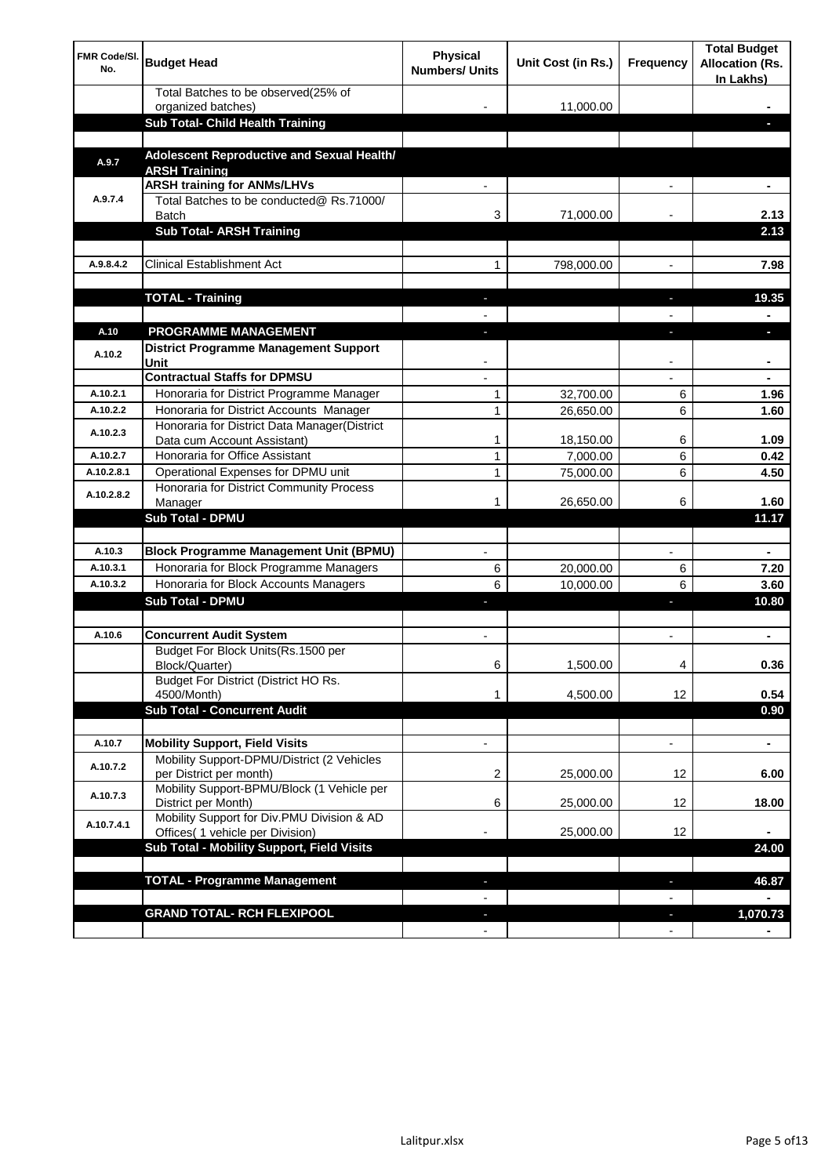| <b>FMR Code/SI.</b><br>No. | <b>Budget Head</b>                                                             | Physical<br><b>Numbers/ Units</b> | Unit Cost (in Rs.) | Frequency                | <b>Total Budget</b><br><b>Allocation (Rs.</b><br>In Lakhs) |
|----------------------------|--------------------------------------------------------------------------------|-----------------------------------|--------------------|--------------------------|------------------------------------------------------------|
|                            | Total Batches to be observed(25% of                                            |                                   |                    |                          |                                                            |
|                            | organized batches)<br>Sub Total- Child Health Training                         |                                   | 11,000.00          |                          |                                                            |
|                            |                                                                                |                                   |                    |                          |                                                            |
| A.9.7                      | Adolescent Reproductive and Sexual Health/<br><b>ARSH Training</b>             |                                   |                    |                          |                                                            |
|                            | <b>ARSH training for ANMs/LHVs</b>                                             |                                   |                    |                          |                                                            |
| A.9.7.4                    | Total Batches to be conducted@ Rs.71000/<br><b>Batch</b>                       | 3                                 | 71,000.00          |                          | 2.13                                                       |
|                            | <b>Sub Total- ARSH Training</b>                                                |                                   |                    |                          | 2.13                                                       |
|                            |                                                                                |                                   |                    |                          |                                                            |
| A.9.8.4.2                  | <b>Clinical Establishment Act</b>                                              | 1                                 | 798,000.00         |                          | 7.98                                                       |
|                            | <b>TOTAL - Training</b>                                                        |                                   |                    |                          | 19.35                                                      |
|                            |                                                                                |                                   |                    |                          |                                                            |
| A.10                       | <b>PROGRAMME MANAGEMENT</b>                                                    |                                   |                    |                          |                                                            |
| A.10.2                     | District Programme Management Support<br>Unit                                  |                                   |                    |                          |                                                            |
|                            | <b>Contractual Staffs for DPMSU</b>                                            |                                   |                    |                          |                                                            |
| A.10.2.1                   | Honoraria for District Programme Manager                                       | 1                                 | 32,700.00          | 6                        | 1.96                                                       |
| A.10.2.2                   | Honoraria for District Accounts Manager                                        | 1                                 | 26,650.00          | 6                        | 1.60                                                       |
| A.10.2.3                   | Honoraria for District Data Manager(District<br>Data cum Account Assistant)    | 1                                 | 18,150.00          | 6                        | 1.09                                                       |
| A.10.2.7                   | Honoraria for Office Assistant                                                 | 1                                 | 7,000.00           | 6                        | 0.42                                                       |
| A.10.2.8.1                 | Operational Expenses for DPMU unit                                             | 1                                 | 75,000.00          | 6                        | 4.50                                                       |
| A.10.2.8.2                 | Honoraria for District Community Process                                       |                                   |                    |                          | 1.60                                                       |
|                            | Manager<br><b>Sub Total - DPMU</b>                                             | 1                                 | 26,650.00          | 6                        | 11.17                                                      |
|                            |                                                                                |                                   |                    |                          |                                                            |
| A.10.3                     | <b>Block Programme Management Unit (BPMU)</b>                                  | $\blacksquare$                    |                    | $\overline{\phantom{a}}$ | $\blacksquare$                                             |
| A.10.3.1                   | Honoraria for Block Programme Managers                                         | 6                                 | 20,000.00          | 6                        | 7.20                                                       |
| A.10.3.2                   | Honoraria for Block Accounts Managers                                          | 6                                 | 10,000.00          | 6                        | 3.60                                                       |
|                            | <b>Sub Total - DPMU</b>                                                        | J,                                |                    | J,                       | 10.80                                                      |
|                            |                                                                                |                                   |                    |                          |                                                            |
| A.10.6                     | <b>Concurrent Audit System</b>                                                 | $\blacksquare$                    |                    | $\blacksquare$           | ۰                                                          |
|                            | Budget For Block Units(Rs.1500 per<br>Block/Quarter)                           | o                                 | 1,500.00           | 4                        | 0.36                                                       |
|                            | Budget For District (District HO Rs.<br>4500/Month)                            | 1                                 | 4,500.00           | 12                       | 0.54                                                       |
|                            | <b>Sub Total - Concurrent Audit</b>                                            |                                   |                    |                          | 0.90                                                       |
|                            |                                                                                |                                   |                    |                          |                                                            |
| A.10.7                     | <b>Mobility Support, Field Visits</b>                                          | $\overline{\phantom{a}}$          |                    | $\overline{\phantom{a}}$ | ۰                                                          |
| A.10.7.2                   | Mobility Support-DPMU/District (2 Vehicles<br>per District per month)          | 2                                 | 25,000.00          | 12                       | 6.00                                                       |
| A.10.7.3                   | Mobility Support-BPMU/Block (1 Vehicle per<br>District per Month)              | 6                                 | 25,000.00          | 12                       | 18.00                                                      |
| A.10.7.4.1                 | Mobility Support for Div.PMU Division & AD<br>Offices( 1 vehicle per Division) |                                   | 25,000.00          | 12                       |                                                            |
|                            | Sub Total - Mobility Support, Field Visits                                     |                                   |                    |                          | 24.00                                                      |
|                            |                                                                                |                                   |                    |                          |                                                            |
|                            | <b>TOTAL - Programme Management</b>                                            |                                   |                    | ı                        | 46.87                                                      |
|                            | <b>GRAND TOTAL- RCH FLEXIPOOL</b>                                              | ٠                                 |                    | H,                       | 1,070.73                                                   |
|                            |                                                                                | $\blacksquare$                    |                    | $\overline{\phantom{a}}$ |                                                            |
|                            |                                                                                |                                   |                    |                          |                                                            |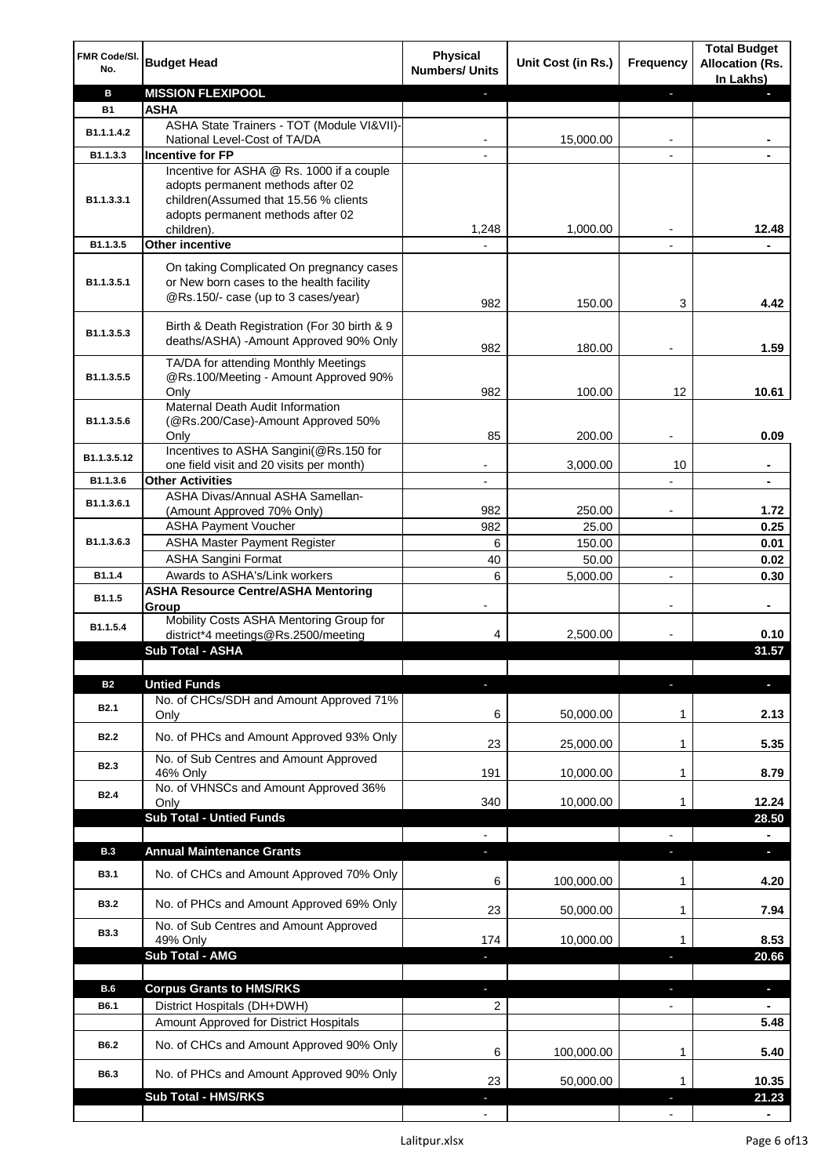| <b>MISSION FLEXIPOOL</b><br>в<br>÷.<br><b>ASHA</b><br><b>B1</b><br>ASHA State Trainers - TOT (Module VI&VII)-<br>B1.1.1.4.2<br>15,000.00<br>National Level-Cost of TA/DA<br><b>Incentive for FP</b><br>B1.1.3.3<br>Incentive for ASHA @ Rs. 1000 if a couple<br>adopts permanent methods after 02<br>children(Assumed that 15.56 % clients<br>B1.1.3.3.1<br>adopts permanent methods after 02<br>1,248<br>1,000.00<br>12.48<br>children).<br>B1.1.3.5<br><b>Other incentive</b><br>On taking Complicated On pregnancy cases<br>or New born cases to the health facility<br>B1.1.3.5.1<br>@Rs.150/- case (up to 3 cases/year)<br>3<br>982<br>150.00<br>4.42<br>Birth & Death Registration (For 30 birth & 9<br>B1.1.3.5.3<br>deaths/ASHA) -Amount Approved 90% Only<br>982<br>1.59<br>180.00<br>TA/DA for attending Monthly Meetings<br>@Rs.100/Meeting - Amount Approved 90%<br>B1.1.3.5.5<br>982<br>12<br>100.00<br>10.61<br>Only<br>Maternal Death Audit Information<br>(@Rs.200/Case)-Amount Approved 50%<br>B1.1.3.5.6<br>85<br>200.00<br>0.09<br>Only<br>Incentives to ASHA Sangini(@Rs.150 for<br>B1.1.3.5.12<br>3,000.00<br>one field visit and 20 visits per month)<br>10<br><b>Other Activities</b><br>B1.1.3.6<br>ASHA Divas/Annual ASHA Samellan-<br>B1.1.3.6.1<br>982<br>250.00<br>(Amount Approved 70% Only)<br>1.72<br><b>ASHA Payment Voucher</b><br>982<br>25.00<br>0.25<br><b>ASHA Master Payment Register</b><br>B1.1.3.6.3<br>6<br>150.00<br>0.01<br><b>ASHA Sangini Format</b><br>40<br>50.00<br>0.02<br>6<br>Awards to ASHA's/Link workers<br>5,000.00<br>0.30<br>B1.1.4<br>$\blacksquare$<br><b>ASHA Resource Centre/ASHA Mentoring</b><br>B1.1.5<br>Group<br>$\blacksquare$<br>$\overline{\phantom{a}}$<br>$\overline{\phantom{a}}$<br>Mobility Costs ASHA Mentoring Group for<br>B1.1.5.4<br>district*4 meetings@Rs.2500/meeting<br>4<br>2,500.00<br>0.10<br><b>Sub Total - ASHA</b><br>31.57<br><b>Untied Funds</b><br><b>B2</b><br>No. of CHCs/SDH and Amount Approved 71%<br><b>B2.1</b><br>50,000.00<br>2.13<br>6<br>Only<br>1<br>No. of PHCs and Amount Approved 93% Only<br><b>B2.2</b><br>5.35<br>23<br>25,000.00<br>1<br>No. of Sub Centres and Amount Approved<br>B <sub>2.3</sub><br>8.79<br>191<br>10,000.00<br>46% Only<br>1<br>No. of VHNSCs and Amount Approved 36%<br><b>B2.4</b><br>10,000.00<br>12.24<br>340<br>Only<br>1<br><b>Sub Total - Untied Funds</b><br>28.50<br><b>Annual Maintenance Grants</b><br><b>B.3</b><br>٠<br>J,<br>T<br>No. of CHCs and Amount Approved 70% Only<br><b>B3.1</b><br>6<br>100,000.00<br>4.20<br>1<br>No. of PHCs and Amount Approved 69% Only<br><b>B3.2</b><br>23<br>7.94<br>50,000.00<br>1<br>No. of Sub Centres and Amount Approved<br><b>B3.3</b><br>8.53<br>49% Only<br>174<br>10,000.00<br>1<br>Sub Total - AMG<br>20.66<br>B.6<br><b>Corpus Grants to HMS/RKS</b><br>$\overline{\phantom{a}}$<br>J,<br>×,<br>B6.1<br>District Hospitals (DH+DWH)<br>2<br>Amount Approved for District Hospitals<br>5.48<br>No. of CHCs and Amount Approved 90% Only<br>B6.2<br>6<br>100,000.00<br>5.40<br>1<br>B6.3<br>No. of PHCs and Amount Approved 90% Only<br>23<br>10.35<br>50,000.00<br>1<br>Sub Total - HMS/RKS<br>21.23 | FMR Code/SI.<br>No. | <b>Budget Head</b> | <b>Physical</b><br><b>Numbers/ Units</b> | Unit Cost (in Rs.) | Frequency | <b>Total Budget</b><br><b>Allocation (Rs.</b><br>In Lakhs) |
|---------------------------------------------------------------------------------------------------------------------------------------------------------------------------------------------------------------------------------------------------------------------------------------------------------------------------------------------------------------------------------------------------------------------------------------------------------------------------------------------------------------------------------------------------------------------------------------------------------------------------------------------------------------------------------------------------------------------------------------------------------------------------------------------------------------------------------------------------------------------------------------------------------------------------------------------------------------------------------------------------------------------------------------------------------------------------------------------------------------------------------------------------------------------------------------------------------------------------------------------------------------------------------------------------------------------------------------------------------------------------------------------------------------------------------------------------------------------------------------------------------------------------------------------------------------------------------------------------------------------------------------------------------------------------------------------------------------------------------------------------------------------------------------------------------------------------------------------------------------------------------------------------------------------------------------------------------------------------------------------------------------------------------------------------------------------------------------------------------------------------------------------------------------------------------------------------------------------------------------------------------------------------------------------------------------------------------------------------------------------------------------------------------------------------------------------------------------------------------------------------------------------------------------------------------------------------------------------------------------------------------------------------------------------------------------------------------------------------------------------------------------------------------------------------------------------------------------------------------------------------------------------------------------------------------------------------------------------------------------------------------------------------------------------------------------------------------------------------------------------------------------------------------------------------------------------------|---------------------|--------------------|------------------------------------------|--------------------|-----------|------------------------------------------------------------|
|                                                                                                                                                                                                                                                                                                                                                                                                                                                                                                                                                                                                                                                                                                                                                                                                                                                                                                                                                                                                                                                                                                                                                                                                                                                                                                                                                                                                                                                                                                                                                                                                                                                                                                                                                                                                                                                                                                                                                                                                                                                                                                                                                                                                                                                                                                                                                                                                                                                                                                                                                                                                                                                                                                                                                                                                                                                                                                                                                                                                                                                                                                                                                                                                   |                     |                    |                                          |                    |           |                                                            |
|                                                                                                                                                                                                                                                                                                                                                                                                                                                                                                                                                                                                                                                                                                                                                                                                                                                                                                                                                                                                                                                                                                                                                                                                                                                                                                                                                                                                                                                                                                                                                                                                                                                                                                                                                                                                                                                                                                                                                                                                                                                                                                                                                                                                                                                                                                                                                                                                                                                                                                                                                                                                                                                                                                                                                                                                                                                                                                                                                                                                                                                                                                                                                                                                   |                     |                    |                                          |                    |           |                                                            |
|                                                                                                                                                                                                                                                                                                                                                                                                                                                                                                                                                                                                                                                                                                                                                                                                                                                                                                                                                                                                                                                                                                                                                                                                                                                                                                                                                                                                                                                                                                                                                                                                                                                                                                                                                                                                                                                                                                                                                                                                                                                                                                                                                                                                                                                                                                                                                                                                                                                                                                                                                                                                                                                                                                                                                                                                                                                                                                                                                                                                                                                                                                                                                                                                   |                     |                    |                                          |                    |           |                                                            |
|                                                                                                                                                                                                                                                                                                                                                                                                                                                                                                                                                                                                                                                                                                                                                                                                                                                                                                                                                                                                                                                                                                                                                                                                                                                                                                                                                                                                                                                                                                                                                                                                                                                                                                                                                                                                                                                                                                                                                                                                                                                                                                                                                                                                                                                                                                                                                                                                                                                                                                                                                                                                                                                                                                                                                                                                                                                                                                                                                                                                                                                                                                                                                                                                   |                     |                    |                                          |                    |           |                                                            |
|                                                                                                                                                                                                                                                                                                                                                                                                                                                                                                                                                                                                                                                                                                                                                                                                                                                                                                                                                                                                                                                                                                                                                                                                                                                                                                                                                                                                                                                                                                                                                                                                                                                                                                                                                                                                                                                                                                                                                                                                                                                                                                                                                                                                                                                                                                                                                                                                                                                                                                                                                                                                                                                                                                                                                                                                                                                                                                                                                                                                                                                                                                                                                                                                   |                     |                    |                                          |                    |           |                                                            |
|                                                                                                                                                                                                                                                                                                                                                                                                                                                                                                                                                                                                                                                                                                                                                                                                                                                                                                                                                                                                                                                                                                                                                                                                                                                                                                                                                                                                                                                                                                                                                                                                                                                                                                                                                                                                                                                                                                                                                                                                                                                                                                                                                                                                                                                                                                                                                                                                                                                                                                                                                                                                                                                                                                                                                                                                                                                                                                                                                                                                                                                                                                                                                                                                   |                     |                    |                                          |                    |           |                                                            |
|                                                                                                                                                                                                                                                                                                                                                                                                                                                                                                                                                                                                                                                                                                                                                                                                                                                                                                                                                                                                                                                                                                                                                                                                                                                                                                                                                                                                                                                                                                                                                                                                                                                                                                                                                                                                                                                                                                                                                                                                                                                                                                                                                                                                                                                                                                                                                                                                                                                                                                                                                                                                                                                                                                                                                                                                                                                                                                                                                                                                                                                                                                                                                                                                   |                     |                    |                                          |                    |           |                                                            |
|                                                                                                                                                                                                                                                                                                                                                                                                                                                                                                                                                                                                                                                                                                                                                                                                                                                                                                                                                                                                                                                                                                                                                                                                                                                                                                                                                                                                                                                                                                                                                                                                                                                                                                                                                                                                                                                                                                                                                                                                                                                                                                                                                                                                                                                                                                                                                                                                                                                                                                                                                                                                                                                                                                                                                                                                                                                                                                                                                                                                                                                                                                                                                                                                   |                     |                    |                                          |                    |           |                                                            |
|                                                                                                                                                                                                                                                                                                                                                                                                                                                                                                                                                                                                                                                                                                                                                                                                                                                                                                                                                                                                                                                                                                                                                                                                                                                                                                                                                                                                                                                                                                                                                                                                                                                                                                                                                                                                                                                                                                                                                                                                                                                                                                                                                                                                                                                                                                                                                                                                                                                                                                                                                                                                                                                                                                                                                                                                                                                                                                                                                                                                                                                                                                                                                                                                   |                     |                    |                                          |                    |           |                                                            |
|                                                                                                                                                                                                                                                                                                                                                                                                                                                                                                                                                                                                                                                                                                                                                                                                                                                                                                                                                                                                                                                                                                                                                                                                                                                                                                                                                                                                                                                                                                                                                                                                                                                                                                                                                                                                                                                                                                                                                                                                                                                                                                                                                                                                                                                                                                                                                                                                                                                                                                                                                                                                                                                                                                                                                                                                                                                                                                                                                                                                                                                                                                                                                                                                   |                     |                    |                                          |                    |           |                                                            |
|                                                                                                                                                                                                                                                                                                                                                                                                                                                                                                                                                                                                                                                                                                                                                                                                                                                                                                                                                                                                                                                                                                                                                                                                                                                                                                                                                                                                                                                                                                                                                                                                                                                                                                                                                                                                                                                                                                                                                                                                                                                                                                                                                                                                                                                                                                                                                                                                                                                                                                                                                                                                                                                                                                                                                                                                                                                                                                                                                                                                                                                                                                                                                                                                   |                     |                    |                                          |                    |           |                                                            |
|                                                                                                                                                                                                                                                                                                                                                                                                                                                                                                                                                                                                                                                                                                                                                                                                                                                                                                                                                                                                                                                                                                                                                                                                                                                                                                                                                                                                                                                                                                                                                                                                                                                                                                                                                                                                                                                                                                                                                                                                                                                                                                                                                                                                                                                                                                                                                                                                                                                                                                                                                                                                                                                                                                                                                                                                                                                                                                                                                                                                                                                                                                                                                                                                   |                     |                    |                                          |                    |           |                                                            |
|                                                                                                                                                                                                                                                                                                                                                                                                                                                                                                                                                                                                                                                                                                                                                                                                                                                                                                                                                                                                                                                                                                                                                                                                                                                                                                                                                                                                                                                                                                                                                                                                                                                                                                                                                                                                                                                                                                                                                                                                                                                                                                                                                                                                                                                                                                                                                                                                                                                                                                                                                                                                                                                                                                                                                                                                                                                                                                                                                                                                                                                                                                                                                                                                   |                     |                    |                                          |                    |           |                                                            |
|                                                                                                                                                                                                                                                                                                                                                                                                                                                                                                                                                                                                                                                                                                                                                                                                                                                                                                                                                                                                                                                                                                                                                                                                                                                                                                                                                                                                                                                                                                                                                                                                                                                                                                                                                                                                                                                                                                                                                                                                                                                                                                                                                                                                                                                                                                                                                                                                                                                                                                                                                                                                                                                                                                                                                                                                                                                                                                                                                                                                                                                                                                                                                                                                   |                     |                    |                                          |                    |           |                                                            |
|                                                                                                                                                                                                                                                                                                                                                                                                                                                                                                                                                                                                                                                                                                                                                                                                                                                                                                                                                                                                                                                                                                                                                                                                                                                                                                                                                                                                                                                                                                                                                                                                                                                                                                                                                                                                                                                                                                                                                                                                                                                                                                                                                                                                                                                                                                                                                                                                                                                                                                                                                                                                                                                                                                                                                                                                                                                                                                                                                                                                                                                                                                                                                                                                   |                     |                    |                                          |                    |           |                                                            |
|                                                                                                                                                                                                                                                                                                                                                                                                                                                                                                                                                                                                                                                                                                                                                                                                                                                                                                                                                                                                                                                                                                                                                                                                                                                                                                                                                                                                                                                                                                                                                                                                                                                                                                                                                                                                                                                                                                                                                                                                                                                                                                                                                                                                                                                                                                                                                                                                                                                                                                                                                                                                                                                                                                                                                                                                                                                                                                                                                                                                                                                                                                                                                                                                   |                     |                    |                                          |                    |           |                                                            |
|                                                                                                                                                                                                                                                                                                                                                                                                                                                                                                                                                                                                                                                                                                                                                                                                                                                                                                                                                                                                                                                                                                                                                                                                                                                                                                                                                                                                                                                                                                                                                                                                                                                                                                                                                                                                                                                                                                                                                                                                                                                                                                                                                                                                                                                                                                                                                                                                                                                                                                                                                                                                                                                                                                                                                                                                                                                                                                                                                                                                                                                                                                                                                                                                   |                     |                    |                                          |                    |           |                                                            |
|                                                                                                                                                                                                                                                                                                                                                                                                                                                                                                                                                                                                                                                                                                                                                                                                                                                                                                                                                                                                                                                                                                                                                                                                                                                                                                                                                                                                                                                                                                                                                                                                                                                                                                                                                                                                                                                                                                                                                                                                                                                                                                                                                                                                                                                                                                                                                                                                                                                                                                                                                                                                                                                                                                                                                                                                                                                                                                                                                                                                                                                                                                                                                                                                   |                     |                    |                                          |                    |           |                                                            |
|                                                                                                                                                                                                                                                                                                                                                                                                                                                                                                                                                                                                                                                                                                                                                                                                                                                                                                                                                                                                                                                                                                                                                                                                                                                                                                                                                                                                                                                                                                                                                                                                                                                                                                                                                                                                                                                                                                                                                                                                                                                                                                                                                                                                                                                                                                                                                                                                                                                                                                                                                                                                                                                                                                                                                                                                                                                                                                                                                                                                                                                                                                                                                                                                   |                     |                    |                                          |                    |           |                                                            |
|                                                                                                                                                                                                                                                                                                                                                                                                                                                                                                                                                                                                                                                                                                                                                                                                                                                                                                                                                                                                                                                                                                                                                                                                                                                                                                                                                                                                                                                                                                                                                                                                                                                                                                                                                                                                                                                                                                                                                                                                                                                                                                                                                                                                                                                                                                                                                                                                                                                                                                                                                                                                                                                                                                                                                                                                                                                                                                                                                                                                                                                                                                                                                                                                   |                     |                    |                                          |                    |           |                                                            |
|                                                                                                                                                                                                                                                                                                                                                                                                                                                                                                                                                                                                                                                                                                                                                                                                                                                                                                                                                                                                                                                                                                                                                                                                                                                                                                                                                                                                                                                                                                                                                                                                                                                                                                                                                                                                                                                                                                                                                                                                                                                                                                                                                                                                                                                                                                                                                                                                                                                                                                                                                                                                                                                                                                                                                                                                                                                                                                                                                                                                                                                                                                                                                                                                   |                     |                    |                                          |                    |           |                                                            |
|                                                                                                                                                                                                                                                                                                                                                                                                                                                                                                                                                                                                                                                                                                                                                                                                                                                                                                                                                                                                                                                                                                                                                                                                                                                                                                                                                                                                                                                                                                                                                                                                                                                                                                                                                                                                                                                                                                                                                                                                                                                                                                                                                                                                                                                                                                                                                                                                                                                                                                                                                                                                                                                                                                                                                                                                                                                                                                                                                                                                                                                                                                                                                                                                   |                     |                    |                                          |                    |           |                                                            |
|                                                                                                                                                                                                                                                                                                                                                                                                                                                                                                                                                                                                                                                                                                                                                                                                                                                                                                                                                                                                                                                                                                                                                                                                                                                                                                                                                                                                                                                                                                                                                                                                                                                                                                                                                                                                                                                                                                                                                                                                                                                                                                                                                                                                                                                                                                                                                                                                                                                                                                                                                                                                                                                                                                                                                                                                                                                                                                                                                                                                                                                                                                                                                                                                   |                     |                    |                                          |                    |           |                                                            |
|                                                                                                                                                                                                                                                                                                                                                                                                                                                                                                                                                                                                                                                                                                                                                                                                                                                                                                                                                                                                                                                                                                                                                                                                                                                                                                                                                                                                                                                                                                                                                                                                                                                                                                                                                                                                                                                                                                                                                                                                                                                                                                                                                                                                                                                                                                                                                                                                                                                                                                                                                                                                                                                                                                                                                                                                                                                                                                                                                                                                                                                                                                                                                                                                   |                     |                    |                                          |                    |           |                                                            |
|                                                                                                                                                                                                                                                                                                                                                                                                                                                                                                                                                                                                                                                                                                                                                                                                                                                                                                                                                                                                                                                                                                                                                                                                                                                                                                                                                                                                                                                                                                                                                                                                                                                                                                                                                                                                                                                                                                                                                                                                                                                                                                                                                                                                                                                                                                                                                                                                                                                                                                                                                                                                                                                                                                                                                                                                                                                                                                                                                                                                                                                                                                                                                                                                   |                     |                    |                                          |                    |           |                                                            |
|                                                                                                                                                                                                                                                                                                                                                                                                                                                                                                                                                                                                                                                                                                                                                                                                                                                                                                                                                                                                                                                                                                                                                                                                                                                                                                                                                                                                                                                                                                                                                                                                                                                                                                                                                                                                                                                                                                                                                                                                                                                                                                                                                                                                                                                                                                                                                                                                                                                                                                                                                                                                                                                                                                                                                                                                                                                                                                                                                                                                                                                                                                                                                                                                   |                     |                    |                                          |                    |           |                                                            |
|                                                                                                                                                                                                                                                                                                                                                                                                                                                                                                                                                                                                                                                                                                                                                                                                                                                                                                                                                                                                                                                                                                                                                                                                                                                                                                                                                                                                                                                                                                                                                                                                                                                                                                                                                                                                                                                                                                                                                                                                                                                                                                                                                                                                                                                                                                                                                                                                                                                                                                                                                                                                                                                                                                                                                                                                                                                                                                                                                                                                                                                                                                                                                                                                   |                     |                    |                                          |                    |           |                                                            |
|                                                                                                                                                                                                                                                                                                                                                                                                                                                                                                                                                                                                                                                                                                                                                                                                                                                                                                                                                                                                                                                                                                                                                                                                                                                                                                                                                                                                                                                                                                                                                                                                                                                                                                                                                                                                                                                                                                                                                                                                                                                                                                                                                                                                                                                                                                                                                                                                                                                                                                                                                                                                                                                                                                                                                                                                                                                                                                                                                                                                                                                                                                                                                                                                   |                     |                    |                                          |                    |           |                                                            |
|                                                                                                                                                                                                                                                                                                                                                                                                                                                                                                                                                                                                                                                                                                                                                                                                                                                                                                                                                                                                                                                                                                                                                                                                                                                                                                                                                                                                                                                                                                                                                                                                                                                                                                                                                                                                                                                                                                                                                                                                                                                                                                                                                                                                                                                                                                                                                                                                                                                                                                                                                                                                                                                                                                                                                                                                                                                                                                                                                                                                                                                                                                                                                                                                   |                     |                    |                                          |                    |           |                                                            |
|                                                                                                                                                                                                                                                                                                                                                                                                                                                                                                                                                                                                                                                                                                                                                                                                                                                                                                                                                                                                                                                                                                                                                                                                                                                                                                                                                                                                                                                                                                                                                                                                                                                                                                                                                                                                                                                                                                                                                                                                                                                                                                                                                                                                                                                                                                                                                                                                                                                                                                                                                                                                                                                                                                                                                                                                                                                                                                                                                                                                                                                                                                                                                                                                   |                     |                    |                                          |                    |           |                                                            |
|                                                                                                                                                                                                                                                                                                                                                                                                                                                                                                                                                                                                                                                                                                                                                                                                                                                                                                                                                                                                                                                                                                                                                                                                                                                                                                                                                                                                                                                                                                                                                                                                                                                                                                                                                                                                                                                                                                                                                                                                                                                                                                                                                                                                                                                                                                                                                                                                                                                                                                                                                                                                                                                                                                                                                                                                                                                                                                                                                                                                                                                                                                                                                                                                   |                     |                    |                                          |                    |           |                                                            |
|                                                                                                                                                                                                                                                                                                                                                                                                                                                                                                                                                                                                                                                                                                                                                                                                                                                                                                                                                                                                                                                                                                                                                                                                                                                                                                                                                                                                                                                                                                                                                                                                                                                                                                                                                                                                                                                                                                                                                                                                                                                                                                                                                                                                                                                                                                                                                                                                                                                                                                                                                                                                                                                                                                                                                                                                                                                                                                                                                                                                                                                                                                                                                                                                   |                     |                    |                                          |                    |           |                                                            |
|                                                                                                                                                                                                                                                                                                                                                                                                                                                                                                                                                                                                                                                                                                                                                                                                                                                                                                                                                                                                                                                                                                                                                                                                                                                                                                                                                                                                                                                                                                                                                                                                                                                                                                                                                                                                                                                                                                                                                                                                                                                                                                                                                                                                                                                                                                                                                                                                                                                                                                                                                                                                                                                                                                                                                                                                                                                                                                                                                                                                                                                                                                                                                                                                   |                     |                    |                                          |                    |           |                                                            |
|                                                                                                                                                                                                                                                                                                                                                                                                                                                                                                                                                                                                                                                                                                                                                                                                                                                                                                                                                                                                                                                                                                                                                                                                                                                                                                                                                                                                                                                                                                                                                                                                                                                                                                                                                                                                                                                                                                                                                                                                                                                                                                                                                                                                                                                                                                                                                                                                                                                                                                                                                                                                                                                                                                                                                                                                                                                                                                                                                                                                                                                                                                                                                                                                   |                     |                    |                                          |                    |           |                                                            |
|                                                                                                                                                                                                                                                                                                                                                                                                                                                                                                                                                                                                                                                                                                                                                                                                                                                                                                                                                                                                                                                                                                                                                                                                                                                                                                                                                                                                                                                                                                                                                                                                                                                                                                                                                                                                                                                                                                                                                                                                                                                                                                                                                                                                                                                                                                                                                                                                                                                                                                                                                                                                                                                                                                                                                                                                                                                                                                                                                                                                                                                                                                                                                                                                   |                     |                    |                                          |                    |           |                                                            |
|                                                                                                                                                                                                                                                                                                                                                                                                                                                                                                                                                                                                                                                                                                                                                                                                                                                                                                                                                                                                                                                                                                                                                                                                                                                                                                                                                                                                                                                                                                                                                                                                                                                                                                                                                                                                                                                                                                                                                                                                                                                                                                                                                                                                                                                                                                                                                                                                                                                                                                                                                                                                                                                                                                                                                                                                                                                                                                                                                                                                                                                                                                                                                                                                   |                     |                    |                                          |                    |           |                                                            |
|                                                                                                                                                                                                                                                                                                                                                                                                                                                                                                                                                                                                                                                                                                                                                                                                                                                                                                                                                                                                                                                                                                                                                                                                                                                                                                                                                                                                                                                                                                                                                                                                                                                                                                                                                                                                                                                                                                                                                                                                                                                                                                                                                                                                                                                                                                                                                                                                                                                                                                                                                                                                                                                                                                                                                                                                                                                                                                                                                                                                                                                                                                                                                                                                   |                     |                    |                                          |                    |           |                                                            |
|                                                                                                                                                                                                                                                                                                                                                                                                                                                                                                                                                                                                                                                                                                                                                                                                                                                                                                                                                                                                                                                                                                                                                                                                                                                                                                                                                                                                                                                                                                                                                                                                                                                                                                                                                                                                                                                                                                                                                                                                                                                                                                                                                                                                                                                                                                                                                                                                                                                                                                                                                                                                                                                                                                                                                                                                                                                                                                                                                                                                                                                                                                                                                                                                   |                     |                    |                                          |                    |           |                                                            |
|                                                                                                                                                                                                                                                                                                                                                                                                                                                                                                                                                                                                                                                                                                                                                                                                                                                                                                                                                                                                                                                                                                                                                                                                                                                                                                                                                                                                                                                                                                                                                                                                                                                                                                                                                                                                                                                                                                                                                                                                                                                                                                                                                                                                                                                                                                                                                                                                                                                                                                                                                                                                                                                                                                                                                                                                                                                                                                                                                                                                                                                                                                                                                                                                   |                     |                    |                                          |                    |           |                                                            |
|                                                                                                                                                                                                                                                                                                                                                                                                                                                                                                                                                                                                                                                                                                                                                                                                                                                                                                                                                                                                                                                                                                                                                                                                                                                                                                                                                                                                                                                                                                                                                                                                                                                                                                                                                                                                                                                                                                                                                                                                                                                                                                                                                                                                                                                                                                                                                                                                                                                                                                                                                                                                                                                                                                                                                                                                                                                                                                                                                                                                                                                                                                                                                                                                   |                     |                    |                                          |                    |           |                                                            |
|                                                                                                                                                                                                                                                                                                                                                                                                                                                                                                                                                                                                                                                                                                                                                                                                                                                                                                                                                                                                                                                                                                                                                                                                                                                                                                                                                                                                                                                                                                                                                                                                                                                                                                                                                                                                                                                                                                                                                                                                                                                                                                                                                                                                                                                                                                                                                                                                                                                                                                                                                                                                                                                                                                                                                                                                                                                                                                                                                                                                                                                                                                                                                                                                   |                     |                    |                                          |                    |           |                                                            |
|                                                                                                                                                                                                                                                                                                                                                                                                                                                                                                                                                                                                                                                                                                                                                                                                                                                                                                                                                                                                                                                                                                                                                                                                                                                                                                                                                                                                                                                                                                                                                                                                                                                                                                                                                                                                                                                                                                                                                                                                                                                                                                                                                                                                                                                                                                                                                                                                                                                                                                                                                                                                                                                                                                                                                                                                                                                                                                                                                                                                                                                                                                                                                                                                   |                     |                    |                                          |                    |           |                                                            |
|                                                                                                                                                                                                                                                                                                                                                                                                                                                                                                                                                                                                                                                                                                                                                                                                                                                                                                                                                                                                                                                                                                                                                                                                                                                                                                                                                                                                                                                                                                                                                                                                                                                                                                                                                                                                                                                                                                                                                                                                                                                                                                                                                                                                                                                                                                                                                                                                                                                                                                                                                                                                                                                                                                                                                                                                                                                                                                                                                                                                                                                                                                                                                                                                   |                     |                    |                                          |                    |           |                                                            |
|                                                                                                                                                                                                                                                                                                                                                                                                                                                                                                                                                                                                                                                                                                                                                                                                                                                                                                                                                                                                                                                                                                                                                                                                                                                                                                                                                                                                                                                                                                                                                                                                                                                                                                                                                                                                                                                                                                                                                                                                                                                                                                                                                                                                                                                                                                                                                                                                                                                                                                                                                                                                                                                                                                                                                                                                                                                                                                                                                                                                                                                                                                                                                                                                   |                     |                    |                                          |                    |           |                                                            |
|                                                                                                                                                                                                                                                                                                                                                                                                                                                                                                                                                                                                                                                                                                                                                                                                                                                                                                                                                                                                                                                                                                                                                                                                                                                                                                                                                                                                                                                                                                                                                                                                                                                                                                                                                                                                                                                                                                                                                                                                                                                                                                                                                                                                                                                                                                                                                                                                                                                                                                                                                                                                                                                                                                                                                                                                                                                                                                                                                                                                                                                                                                                                                                                                   |                     |                    |                                          |                    |           |                                                            |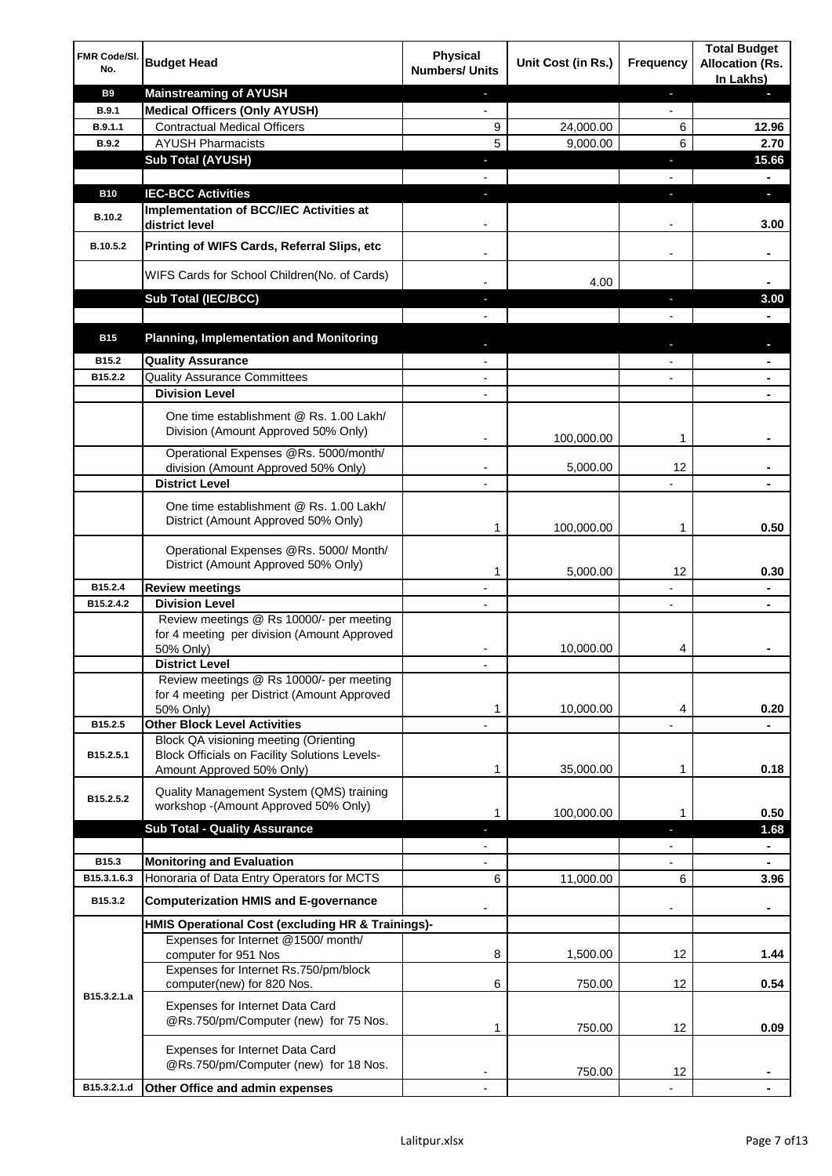| FMR Code/SI.<br>No. | <b>Budget Head</b>                                                                                                         | <b>Physical</b><br><b>Numbers/ Units</b> | Unit Cost (in Rs.) | Frequency                | <b>Total Budget</b><br><b>Allocation (Rs.</b><br>In Lakhs) |
|---------------------|----------------------------------------------------------------------------------------------------------------------------|------------------------------------------|--------------------|--------------------------|------------------------------------------------------------|
| <b>B9</b>           | <b>Mainstreaming of AYUSH</b>                                                                                              | ٠                                        |                    | ٠                        | ٠                                                          |
| <b>B.9.1</b>        | <b>Medical Officers (Only AYUSH)</b>                                                                                       | $\blacksquare$                           |                    | $\overline{\phantom{a}}$ |                                                            |
| B.9.1.1             | <b>Contractual Medical Officers</b>                                                                                        | 9                                        | 24,000.00          | 6                        | 12.96                                                      |
| <b>B.9.2</b>        | <b>AYUSH Pharmacists</b>                                                                                                   | 5                                        | 9,000.00           | 6                        | 2.70                                                       |
|                     | <b>Sub Total (AYUSH)</b>                                                                                                   | ٠                                        |                    | J,                       | 15.66                                                      |
| <b>B10</b>          | <b>IEC-BCC Activities</b>                                                                                                  | J,                                       |                    | J,                       | ٠                                                          |
|                     | Implementation of BCC/IEC Activities at                                                                                    |                                          |                    |                          |                                                            |
| <b>B.10.2</b>       | district level                                                                                                             |                                          |                    |                          | 3.00                                                       |
| B.10.5.2            | Printing of WIFS Cards, Referral Slips, etc                                                                                |                                          |                    | $\overline{\phantom{a}}$ | ٠                                                          |
|                     | WIFS Cards for School Children(No. of Cards)                                                                               |                                          | 4.00               |                          |                                                            |
|                     | Sub Total (IEC/BCC)                                                                                                        |                                          |                    |                          | 3.00                                                       |
|                     |                                                                                                                            |                                          |                    |                          |                                                            |
| <b>B15</b>          | <b>Planning, Implementation and Monitoring</b>                                                                             |                                          |                    |                          |                                                            |
| B15.2               | <b>Quality Assurance</b>                                                                                                   |                                          |                    |                          | ۰                                                          |
| B15.2.2             | <b>Quality Assurance Committees</b>                                                                                        |                                          |                    |                          | ۰                                                          |
|                     | <b>Division Level</b>                                                                                                      |                                          |                    |                          |                                                            |
|                     | One time establishment @ Rs. 1.00 Lakh/<br>Division (Amount Approved 50% Only)                                             |                                          | 100,000.00         | 1                        |                                                            |
|                     | Operational Expenses @Rs. 5000/month/                                                                                      |                                          |                    |                          |                                                            |
|                     | division (Amount Approved 50% Only)                                                                                        |                                          | 5,000.00           | 12                       |                                                            |
|                     | <b>District Level</b>                                                                                                      |                                          |                    |                          |                                                            |
|                     | One time establishment @ Rs. 1.00 Lakh/<br>District (Amount Approved 50% Only)                                             | 1                                        | 100,000.00         | 1                        | 0.50                                                       |
|                     | Operational Expenses @Rs. 5000/ Month/<br>District (Amount Approved 50% Only)                                              | 1                                        | 5,000.00           | 12                       | 0.30                                                       |
| B15.2.4             | <b>Review meetings</b>                                                                                                     | $\overline{a}$                           |                    | -                        | ۰                                                          |
| B15.2.4.2           | <b>Division Level</b>                                                                                                      |                                          |                    | $\overline{\phantom{a}}$ | ٠                                                          |
|                     | Review meetings @ Rs 10000/- per meeting<br>for 4 meeting per division (Amount Approved<br>50% Only)                       |                                          | 10,000.00          | 4                        |                                                            |
|                     | <b>District Level</b>                                                                                                      |                                          |                    |                          |                                                            |
|                     | Review meetings @ Rs 10000/- per meeting<br>for 4 meeting per District (Amount Approved                                    |                                          |                    |                          |                                                            |
|                     | 50% Only)                                                                                                                  | 1                                        | 10,000.00          | 4                        | 0.20                                                       |
| B15.2.5             | <b>Other Block Level Activities</b>                                                                                        |                                          |                    |                          |                                                            |
| B15.2.5.1           | Block QA visioning meeting (Orienting<br><b>Block Officials on Facility Solutions Levels-</b><br>Amount Approved 50% Only) | 1                                        | 35,000.00          | 1                        | 0.18                                                       |
|                     |                                                                                                                            |                                          |                    |                          |                                                            |
| B15.2.5.2           | Quality Management System (QMS) training<br>workshop - (Amount Approved 50% Only)                                          | 1                                        | 100,000.00         | 1                        | 0.50                                                       |
|                     | <b>Sub Total - Quality Assurance</b>                                                                                       |                                          |                    | r                        | 1.68                                                       |
|                     |                                                                                                                            |                                          |                    |                          | $\blacksquare$                                             |
| B15.3               | <b>Monitoring and Evaluation</b>                                                                                           |                                          |                    |                          |                                                            |
| B15.3.1.6.3         | Honoraria of Data Entry Operators for MCTS                                                                                 | 6                                        | 11,000.00          | 6                        | 3.96                                                       |
| B15.3.2             | <b>Computerization HMIS and E-governance</b>                                                                               |                                          |                    |                          |                                                            |
|                     | HMIS Operational Cost (excluding HR & Trainings)-                                                                          |                                          |                    |                          |                                                            |
|                     | Expenses for Internet @1500/month/<br>computer for 951 Nos                                                                 | 8                                        | 1,500.00           | 12                       | 1.44                                                       |
|                     | Expenses for Internet Rs.750/pm/block<br>computer(new) for 820 Nos.                                                        | 6                                        | 750.00             | 12                       | 0.54                                                       |
| B15.3.2.1.a         | Expenses for Internet Data Card<br>@Rs.750/pm/Computer (new) for 75 Nos.                                                   | 1                                        | 750.00             | 12                       | 0.09                                                       |
|                     | Expenses for Internet Data Card<br>@Rs.750/pm/Computer (new) for 18 Nos.                                                   |                                          | 750.00             | 12                       |                                                            |
| B15.3.2.1.d         | Other Office and admin expenses                                                                                            |                                          |                    |                          |                                                            |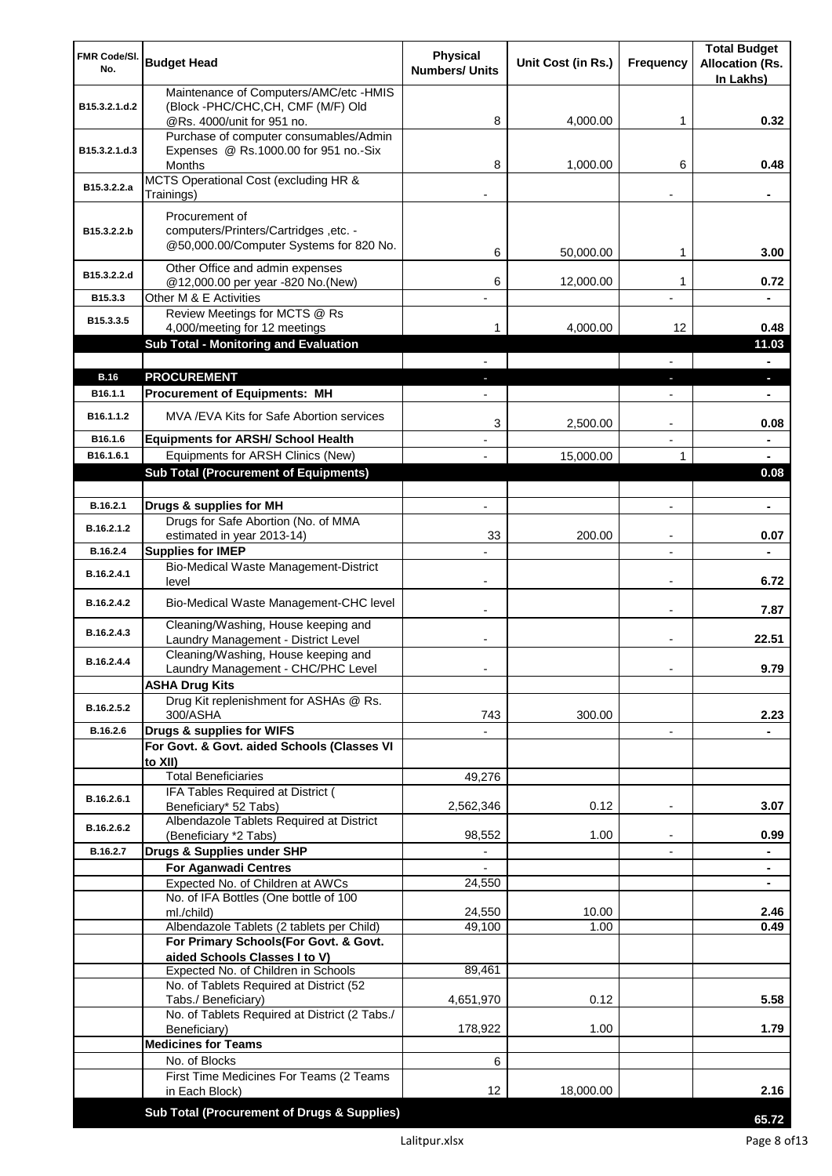| FMR Code/SI.<br>No. | <b>Budget Head</b>                                                                                 | Physical<br><b>Numbers/ Units</b> | Unit Cost (in Rs.) | Frequency                | <b>Total Budget</b><br><b>Allocation (Rs.</b><br>In Lakhs) |
|---------------------|----------------------------------------------------------------------------------------------------|-----------------------------------|--------------------|--------------------------|------------------------------------------------------------|
| B15.3.2.1.d.2       | Maintenance of Computers/AMC/etc -HMIS<br>(Block -PHC/CHC, CH, CMF (M/F) Old                       |                                   |                    |                          |                                                            |
|                     | @Rs. 4000/unit for 951 no.<br>Purchase of computer consumables/Admin                               | 8                                 | 4,000.00           | 1                        | 0.32                                                       |
| B15.3.2.1.d.3       | Expenses @ Rs.1000.00 for 951 no.-Six                                                              |                                   |                    |                          |                                                            |
|                     | Months<br>MCTS Operational Cost (excluding HR &                                                    | 8                                 | 1,000.00           | 6                        | 0.48                                                       |
| B15.3.2.2.a         | Trainings)                                                                                         |                                   |                    |                          |                                                            |
| B15.3.2.2.b         | Procurement of<br>computers/Printers/Cartridges, etc. -<br>@50,000.00/Computer Systems for 820 No. | 6                                 | 50,000.00          | 1                        | 3.00                                                       |
| B15.3.2.2.d         | Other Office and admin expenses                                                                    |                                   |                    |                          |                                                            |
| B15.3.3             | @12,000.00 per year -820 No.(New)<br>Other M & E Activities                                        | 6                                 | 12,000.00          | 1                        | 0.72                                                       |
| B15.3.3.5           | Review Meetings for MCTS @ Rs                                                                      |                                   |                    |                          |                                                            |
|                     | 4,000/meeting for 12 meetings                                                                      | 1                                 | 4,000.00           | 12                       | 0.48                                                       |
|                     | <b>Sub Total - Monitoring and Evaluation</b>                                                       |                                   |                    |                          | 11.03                                                      |
| <b>B.16</b>         | <b>PROCUREMENT</b>                                                                                 |                                   |                    |                          | ٠                                                          |
| B16.1.1             | <b>Procurement of Equipments: MH</b>                                                               |                                   |                    |                          | ٠                                                          |
| B16.1.1.2           | MVA / EVA Kits for Safe Abortion services                                                          | 3                                 | 2,500.00           | $\blacksquare$           | 0.08                                                       |
| B16.1.6             | <b>Equipments for ARSH/ School Health</b>                                                          |                                   |                    | $\overline{\phantom{a}}$ | $\blacksquare$                                             |
| B16.1.6.1           | Equipments for ARSH Clinics (New)                                                                  |                                   | 15,000.00          | 1                        | ٠                                                          |
|                     | <b>Sub Total (Procurement of Equipments)</b>                                                       |                                   |                    |                          | 0.08                                                       |
|                     |                                                                                                    |                                   |                    |                          |                                                            |
| B.16.2.1            | Drugs & supplies for MH<br>Drugs for Safe Abortion (No. of MMA                                     | $\blacksquare$                    |                    | $\overline{a}$           | $\blacksquare$                                             |
| B.16.2.1.2          | estimated in year 2013-14)                                                                         | 33                                | 200.00             | $\blacksquare$           | 0.07                                                       |
| B.16.2.4            | <b>Supplies for IMEP</b>                                                                           |                                   |                    | $\overline{a}$           |                                                            |
| B.16.2.4.1          | <b>Bio-Medical Waste Management-District</b><br>level                                              | $\blacksquare$                    |                    | $\overline{\phantom{a}}$ | 6.72                                                       |
| B.16.2.4.2          | Bio-Medical Waste Management-CHC level                                                             |                                   |                    |                          | 7.87                                                       |
| B.16.2.4.3          | Cleaning/Washing, House keeping and<br>Laundry Management - District Level                         |                                   |                    |                          | 22.51                                                      |
| B.16.2.4.4          | Cleaning/Washing, House keeping and<br>Laundry Management - CHC/PHC Level                          |                                   |                    |                          | 9.79                                                       |
|                     | <b>ASHA Drug Kits</b>                                                                              |                                   |                    |                          |                                                            |
| B.16.2.5.2          | Drug Kit replenishment for ASHAs @ Rs.                                                             |                                   |                    |                          |                                                            |
| B.16.2.6            | 300/ASHA<br>Drugs & supplies for WIFS                                                              | 743                               | 300.00             | $\overline{\phantom{a}}$ | 2.23                                                       |
|                     | For Govt. & Govt. aided Schools (Classes VI<br>to XII)                                             |                                   |                    |                          |                                                            |
|                     | <b>Total Beneficiaries</b>                                                                         | 49,276                            |                    |                          |                                                            |
| B.16.2.6.1          | IFA Tables Required at District (<br>Beneficiary* 52 Tabs)                                         | 2,562,346                         | 0.12               |                          | 3.07                                                       |
| B.16.2.6.2          | Albendazole Tablets Required at District<br>(Beneficiary *2 Tabs)                                  | 98,552                            | 1.00               |                          | 0.99                                                       |
| B.16.2.7            | Drugs & Supplies under SHP                                                                         |                                   |                    |                          |                                                            |
|                     | <b>For Aganwadi Centres</b>                                                                        | $\blacksquare$                    |                    |                          | ٠                                                          |
|                     | Expected No. of Children at AWCs<br>No. of IFA Bottles (One bottle of 100                          | 24,550                            |                    |                          | ٠                                                          |
|                     | ml./child)                                                                                         | 24,550                            | 10.00              |                          | 2.46                                                       |
|                     | Albendazole Tablets (2 tablets per Child)                                                          | 49,100                            | 1.00               |                          | 0.49                                                       |
|                     | For Primary Schools(For Govt. & Govt.<br>aided Schools Classes I to V)                             |                                   |                    |                          |                                                            |
|                     | Expected No. of Children in Schools                                                                | 89,461                            |                    |                          |                                                            |
|                     | No. of Tablets Required at District (52                                                            |                                   |                    |                          |                                                            |
|                     | Tabs./ Beneficiary)<br>No. of Tablets Required at District (2 Tabs./                               | 4,651,970                         | 0.12               |                          | 5.58                                                       |
|                     | Beneficiary)                                                                                       | 178,922                           | 1.00               |                          | 1.79                                                       |
|                     | <b>Medicines for Teams</b>                                                                         |                                   |                    |                          |                                                            |
|                     | No. of Blocks<br>First Time Medicines For Teams (2 Teams                                           | 6                                 |                    |                          |                                                            |
|                     | in Each Block)                                                                                     | 12                                | 18,000.00          |                          | 2.16                                                       |
|                     | Sub Total (Procurement of Drugs & Supplies)                                                        |                                   |                    |                          | 65.72                                                      |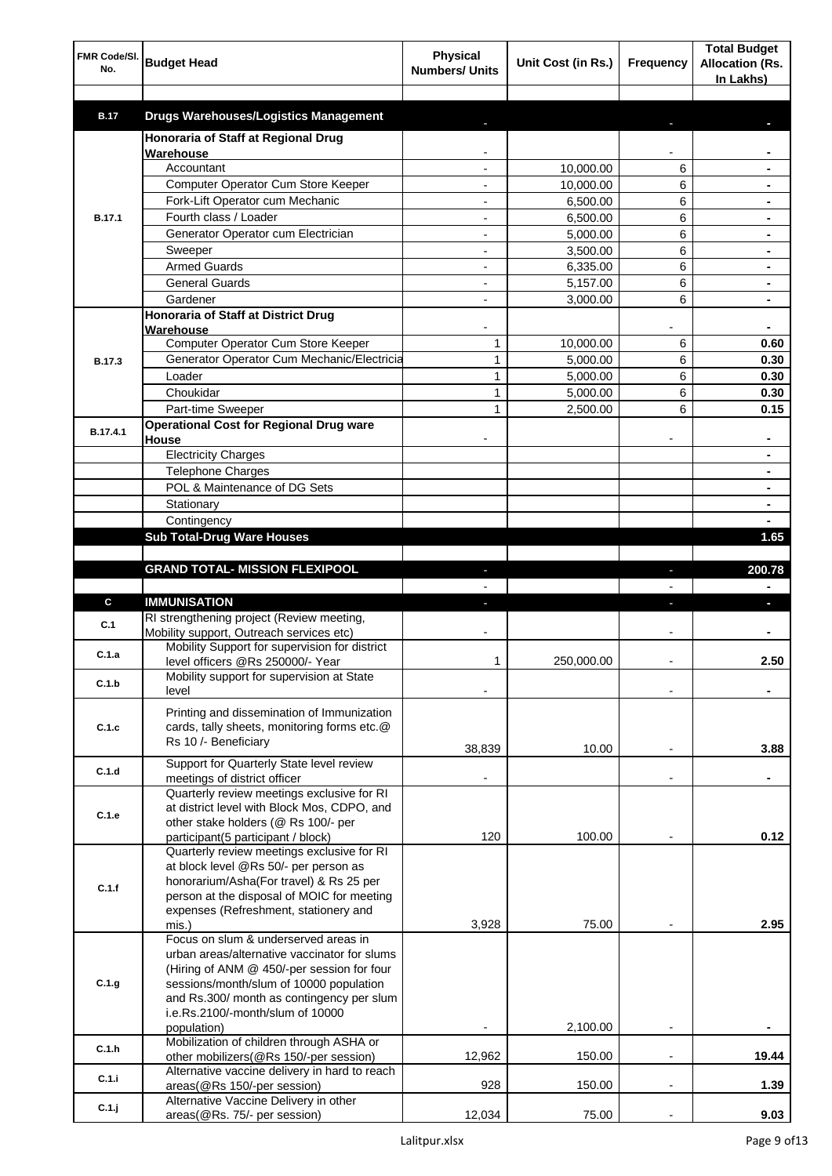| FMR Code/SI.<br>No. | <b>Budget Head</b>                                                                   | Physical<br><b>Numbers/ Units</b> | Unit Cost (in Rs.) | Frequency      | <b>Total Budget</b><br><b>Allocation (Rs.</b><br>In Lakhs) |
|---------------------|--------------------------------------------------------------------------------------|-----------------------------------|--------------------|----------------|------------------------------------------------------------|
|                     |                                                                                      |                                   |                    |                |                                                            |
| <b>B.17</b>         | <b>Drugs Warehouses/Logistics Management</b>                                         |                                   |                    |                |                                                            |
|                     | Honoraria of Staff at Regional Drug<br>Warehouse                                     |                                   |                    |                |                                                            |
|                     | Accountant                                                                           |                                   | 10,000.00          | 6              |                                                            |
|                     | Computer Operator Cum Store Keeper                                                   |                                   | 10,000.00          | 6              |                                                            |
|                     | Fork-Lift Operator cum Mechanic                                                      |                                   | 6,500.00           | 6              |                                                            |
| <b>B.17.1</b>       | Fourth class / Loader                                                                |                                   | 6,500.00           | 6              |                                                            |
|                     | Generator Operator cum Electrician                                                   |                                   | 5,000.00           | 6              |                                                            |
|                     | Sweeper                                                                              |                                   | 3,500.00           | 6              |                                                            |
|                     | <b>Armed Guards</b>                                                                  |                                   | 6,335.00           | 6              |                                                            |
|                     | <b>General Guards</b>                                                                |                                   | 5,157.00           | 6              |                                                            |
|                     | Gardener                                                                             |                                   | 3,000.00           | 6              |                                                            |
|                     | <b>Honoraria of Staff at District Drug</b>                                           |                                   |                    |                |                                                            |
|                     | Warehouse                                                                            |                                   |                    |                |                                                            |
|                     | Computer Operator Cum Store Keeper                                                   | 1                                 | 10,000.00          | 6              | 0.60                                                       |
| <b>B.17.3</b>       | Generator Operator Cum Mechanic/Electricia                                           | 1                                 | 5,000.00           | 6              | 0.30                                                       |
|                     | Loader                                                                               | 1                                 | 5,000.00           | 6              | 0.30                                                       |
|                     | Choukidar                                                                            | 1                                 | 5.000.00           | 6              | 0.30                                                       |
|                     | Part-time Sweeper                                                                    | 1                                 | 2,500.00           | 6              | 0.15                                                       |
| B.17.4.1            | <b>Operational Cost for Regional Drug ware</b>                                       |                                   |                    |                |                                                            |
|                     | House                                                                                |                                   |                    |                | ۰                                                          |
|                     | <b>Electricity Charges</b>                                                           |                                   |                    |                | ۰                                                          |
|                     | Telephone Charges                                                                    |                                   |                    |                | ۰                                                          |
|                     | POL & Maintenance of DG Sets                                                         |                                   |                    |                | ٠                                                          |
|                     | Stationary                                                                           |                                   |                    |                | ٠                                                          |
|                     | Contingency                                                                          |                                   |                    |                |                                                            |
|                     | <b>Sub Total-Drug Ware Houses</b>                                                    |                                   |                    |                | 1.65                                                       |
|                     |                                                                                      |                                   |                    |                |                                                            |
|                     | <b>GRAND TOTAL- MISSION FLEXIPOOL</b>                                                |                                   |                    | J,             | 200.78                                                     |
|                     |                                                                                      |                                   |                    |                |                                                            |
| C                   | <b>IMMUNISATION</b><br>RI strengthening project (Review meeting,                     |                                   |                    |                | ı                                                          |
| C.1                 | Mobility support, Outreach services etc)                                             |                                   |                    |                |                                                            |
|                     | Mobility Support for supervision for district                                        |                                   |                    |                |                                                            |
| C.1.a               | level officers @Rs 250000/- Year                                                     | 1                                 | 250,000.00         |                | 2.50                                                       |
| C.1.b               | Mobility support for supervision at State                                            |                                   |                    |                |                                                            |
|                     | level                                                                                |                                   |                    |                |                                                            |
|                     | Printing and dissemination of Immunization                                           |                                   |                    |                |                                                            |
| C.1.c               | cards, tally sheets, monitoring forms etc.@                                          |                                   |                    |                |                                                            |
|                     | Rs 10 /- Beneficiary                                                                 | 38,839                            | 10.00              |                | 3.88                                                       |
|                     | Support for Quarterly State level review                                             |                                   |                    |                |                                                            |
| C.1.d               | meetings of district officer                                                         |                                   |                    |                |                                                            |
|                     | Quarterly review meetings exclusive for RI                                           |                                   |                    |                |                                                            |
| C.1.e               | at district level with Block Mos, CDPO, and                                          |                                   |                    |                |                                                            |
|                     | other stake holders (@ Rs 100/- per                                                  |                                   |                    |                |                                                            |
|                     | participant(5 participant / block)                                                   | 120                               | 100.00             |                | 0.12                                                       |
|                     | Quarterly review meetings exclusive for RI<br>at block level @Rs 50/- per person as  |                                   |                    |                |                                                            |
|                     | honorarium/Asha(For travel) & Rs 25 per                                              |                                   |                    |                |                                                            |
| C.1.f               | person at the disposal of MOIC for meeting                                           |                                   |                    |                |                                                            |
|                     | expenses (Refreshment, stationery and                                                |                                   |                    |                |                                                            |
|                     | mis.)                                                                                | 3,928                             | 75.00              |                | 2.95                                                       |
|                     | Focus on slum & underserved areas in                                                 |                                   |                    |                |                                                            |
|                     | urban areas/alternative vaccinator for slums                                         |                                   |                    |                |                                                            |
|                     | (Hiring of ANM @ 450/-per session for four                                           |                                   |                    |                |                                                            |
| C.1.g               | sessions/month/slum of 10000 population<br>and Rs.300/ month as contingency per slum |                                   |                    |                |                                                            |
|                     | i.e.Rs.2100/-month/slum of 10000                                                     |                                   |                    |                |                                                            |
|                     | population)                                                                          |                                   | 2,100.00           |                |                                                            |
| C.1.h               | Mobilization of children through ASHA or                                             |                                   |                    |                |                                                            |
|                     | other mobilizers(@Rs 150/-per session)                                               | 12,962                            | 150.00             |                | 19.44                                                      |
| C.1.i               | Alternative vaccine delivery in hard to reach                                        |                                   |                    |                |                                                            |
|                     | areas(@Rs 150/-per session)                                                          | 928                               | 150.00             | $\overline{a}$ | 1.39                                                       |
| C.1.j               | Alternative Vaccine Delivery in other                                                |                                   |                    |                |                                                            |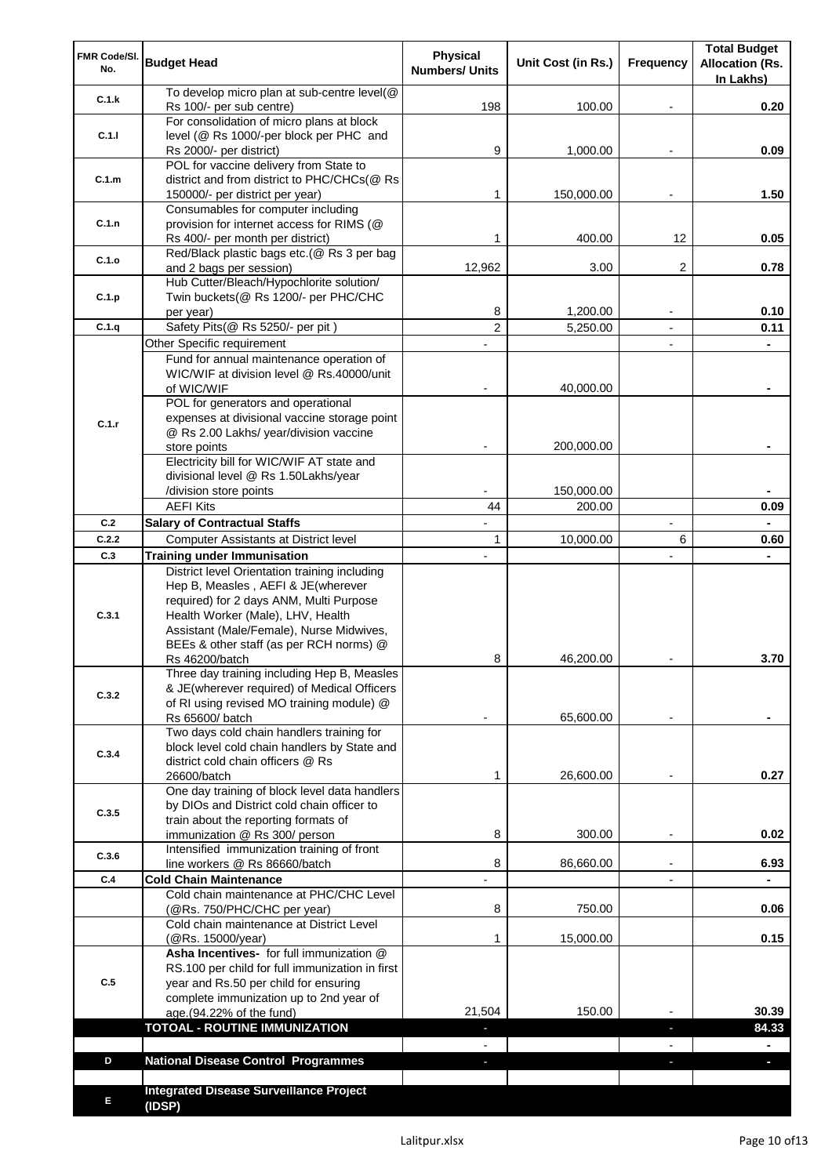| FMR Code/SI.<br>No. | <b>Budget Head</b>                                                                                                                                                                                                                                         | Physical<br><b>Numbers/ Units</b> | Unit Cost (in Rs.)   | Frequency                | <b>Total Budget</b><br><b>Allocation (Rs.</b><br>In Lakhs) |
|---------------------|------------------------------------------------------------------------------------------------------------------------------------------------------------------------------------------------------------------------------------------------------------|-----------------------------------|----------------------|--------------------------|------------------------------------------------------------|
| C.1.k               | To develop micro plan at sub-centre level(@<br>Rs 100/- per sub centre)                                                                                                                                                                                    | 198                               | 100.00               |                          | 0.20                                                       |
| C.1.1               | For consolidation of micro plans at block<br>level (@ Rs 1000/-per block per PHC and                                                                                                                                                                       | 9                                 | 1,000.00             |                          | 0.09                                                       |
|                     | Rs 2000/- per district)<br>POL for vaccine delivery from State to                                                                                                                                                                                          |                                   |                      |                          |                                                            |
| C.1.m               | district and from district to PHC/CHCs(@ Rs<br>150000/- per district per year)                                                                                                                                                                             | 1                                 | 150,000.00           |                          | 1.50                                                       |
| C.1.n               | Consumables for computer including<br>provision for internet access for RIMS (@<br>Rs 400/- per month per district)                                                                                                                                        | 1                                 | 400.00               | 12                       | 0.05                                                       |
| C.1.o               | Red/Black plastic bags etc.(@ Rs 3 per bag<br>and 2 bags per session)                                                                                                                                                                                      | 12,962                            | 3.00                 | 2                        | 0.78                                                       |
| C.1.p               | Hub Cutter/Bleach/Hypochlorite solution/<br>Twin buckets(@ Rs 1200/- per PHC/CHC                                                                                                                                                                           |                                   |                      |                          |                                                            |
| C.1.q               | per year)<br>Safety Pits(@ Rs 5250/- per pit)                                                                                                                                                                                                              | 8<br>$\overline{c}$               | 1,200.00<br>5,250.00 |                          | 0.10<br>0.11                                               |
|                     | Other Specific requirement                                                                                                                                                                                                                                 |                                   |                      | $\blacksquare$           |                                                            |
|                     | Fund for annual maintenance operation of                                                                                                                                                                                                                   |                                   |                      |                          |                                                            |
|                     | WIC/WIF at division level @ Rs.40000/unit                                                                                                                                                                                                                  |                                   |                      |                          |                                                            |
|                     | of WIC/WIF                                                                                                                                                                                                                                                 |                                   | 40,000.00            |                          |                                                            |
|                     | POL for generators and operational<br>expenses at divisional vaccine storage point                                                                                                                                                                         |                                   |                      |                          |                                                            |
| C.1.r               | @ Rs 2.00 Lakhs/ year/division vaccine                                                                                                                                                                                                                     |                                   |                      |                          |                                                            |
|                     | store points                                                                                                                                                                                                                                               |                                   | 200,000.00           |                          |                                                            |
|                     | Electricity bill for WIC/WIF AT state and                                                                                                                                                                                                                  |                                   |                      |                          |                                                            |
|                     | divisional level @ Rs 1.50Lakhs/year                                                                                                                                                                                                                       |                                   |                      |                          |                                                            |
|                     | /division store points<br><b>AEFI Kits</b>                                                                                                                                                                                                                 | 44                                | 150,000.00<br>200.00 |                          | 0.09                                                       |
| C.2                 | <b>Salary of Contractual Staffs</b>                                                                                                                                                                                                                        |                                   |                      | $\overline{\phantom{a}}$ |                                                            |
| C.2.2               | Computer Assistants at District level                                                                                                                                                                                                                      | $\mathbf{1}$                      | 10,000.00            | 6                        | 0.60                                                       |
| C.3                 | <b>Training under Immunisation</b>                                                                                                                                                                                                                         | $\overline{a}$                    |                      |                          |                                                            |
| C.3.1               | District level Orientation training including<br>Hep B, Measles, AEFI & JE(wherever<br>required) for 2 days ANM, Multi Purpose<br>Health Worker (Male), LHV, Health<br>Assistant (Male/Female), Nurse Midwives,<br>BEEs & other staff (as per RCH norms) @ |                                   |                      |                          |                                                            |
|                     | Rs 46200/batch                                                                                                                                                                                                                                             | 8                                 | 46,200.00            |                          | 3.70                                                       |
| C.3.2               | Three day training including Hep B, Measles<br>& JE(wherever required) of Medical Officers<br>of RI using revised MO training module) @<br>Rs 65600/ batch                                                                                                 |                                   | 65,600.00            |                          |                                                            |
|                     | Two days cold chain handlers training for                                                                                                                                                                                                                  |                                   |                      |                          |                                                            |
| C.3.4               | block level cold chain handlers by State and<br>district cold chain officers @ Rs<br>26600/batch                                                                                                                                                           | 1                                 | 26,600.00            |                          | 0.27                                                       |
|                     | One day training of block level data handlers                                                                                                                                                                                                              |                                   |                      |                          |                                                            |
| C.3.5               | by DIOs and District cold chain officer to                                                                                                                                                                                                                 |                                   |                      |                          |                                                            |
|                     | train about the reporting formats of<br>immunization @ Rs 300/ person                                                                                                                                                                                      | 8                                 | 300.00               | $\overline{\phantom{a}}$ | 0.02                                                       |
|                     | Intensified immunization training of front                                                                                                                                                                                                                 |                                   |                      |                          |                                                            |
| C.3.6               | line workers @ Rs 86660/batch                                                                                                                                                                                                                              | 8                                 | 86,660.00            | $\blacksquare$           | 6.93                                                       |
| C.4                 | <b>Cold Chain Maintenance</b>                                                                                                                                                                                                                              |                                   |                      |                          |                                                            |
|                     | Cold chain maintenance at PHC/CHC Level<br>(@Rs. 750/PHC/CHC per year)                                                                                                                                                                                     | 8                                 | 750.00               |                          | 0.06                                                       |
|                     | Cold chain maintenance at District Level                                                                                                                                                                                                                   | 1                                 | 15,000.00            |                          | 0.15                                                       |
| C.5                 | (@Rs. 15000/year)<br>Asha Incentives- for full immunization @<br>RS.100 per child for full immunization in first<br>year and Rs.50 per child for ensuring<br>complete immunization up to 2nd year of                                                       |                                   |                      |                          |                                                            |
|                     | age.(94.22% of the fund)                                                                                                                                                                                                                                   | 21,504                            | 150.00               |                          | 30.39                                                      |
|                     | <b>TOTOAL - ROUTINE IMMUNIZATION</b>                                                                                                                                                                                                                       |                                   |                      |                          | 84.33                                                      |
| D                   | <b>National Disease Control Programmes</b>                                                                                                                                                                                                                 |                                   |                      |                          |                                                            |
|                     |                                                                                                                                                                                                                                                            |                                   |                      |                          |                                                            |
| Е                   | <b>Integrated Disease Surveillance Project</b><br>(IDSP)                                                                                                                                                                                                   |                                   |                      |                          |                                                            |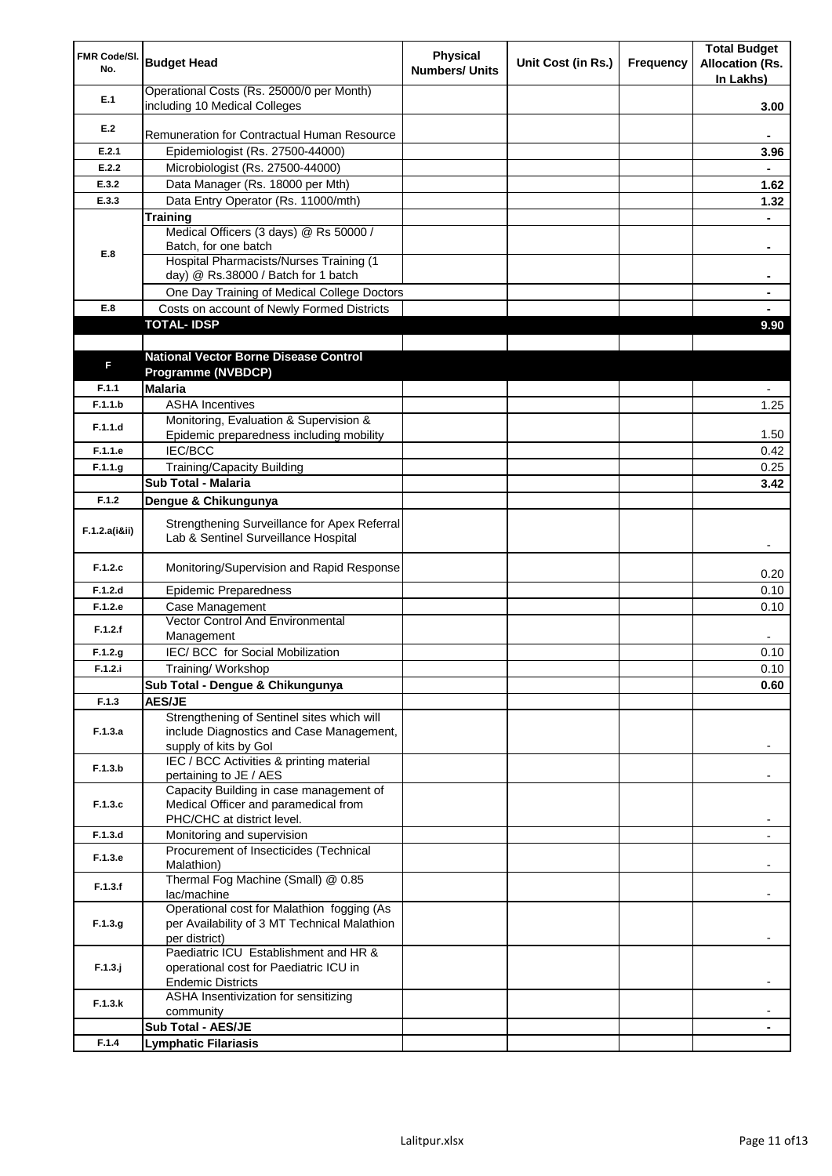| FMR Code/SI.<br>No. | <b>Budget Head</b>                                                                   | <b>Physical</b><br><b>Numbers/ Units</b> | Unit Cost (in Rs.) | <b>Frequency</b> | <b>Total Budget</b><br><b>Allocation (Rs.</b><br>In Lakhs) |
|---------------------|--------------------------------------------------------------------------------------|------------------------------------------|--------------------|------------------|------------------------------------------------------------|
| E.1                 | Operational Costs (Rs. 25000/0 per Month)<br>including 10 Medical Colleges           |                                          |                    |                  | 3.00                                                       |
| E.2                 |                                                                                      |                                          |                    |                  |                                                            |
|                     | Remuneration for Contractual Human Resource                                          |                                          |                    |                  |                                                            |
| E.2.1               | Epidemiologist (Rs. 27500-44000)                                                     |                                          |                    |                  | 3.96                                                       |
| E.2.2               | Microbiologist (Rs. 27500-44000)                                                     |                                          |                    |                  |                                                            |
| E.3.2               | Data Manager (Rs. 18000 per Mth)                                                     |                                          |                    |                  | 1.62                                                       |
| E.3.3               | Data Entry Operator (Rs. 11000/mth)                                                  |                                          |                    |                  | 1.32                                                       |
|                     | <b>Training</b><br>Medical Officers (3 days) @ Rs 50000 /                            |                                          |                    |                  |                                                            |
|                     | Batch, for one batch                                                                 |                                          |                    |                  | ۰                                                          |
| E.8                 | Hospital Pharmacists/Nurses Training (1                                              |                                          |                    |                  |                                                            |
|                     | day) @ Rs.38000 / Batch for 1 batch                                                  |                                          |                    |                  |                                                            |
|                     | One Day Training of Medical College Doctors                                          |                                          |                    |                  |                                                            |
| E.8                 | Costs on account of Newly Formed Districts                                           |                                          |                    |                  |                                                            |
|                     | <b>TOTAL-IDSP</b>                                                                    |                                          |                    |                  | 9.90                                                       |
|                     |                                                                                      |                                          |                    |                  |                                                            |
| F                   | <b>National Vector Borne Disease Control</b>                                         |                                          |                    |                  |                                                            |
|                     | Programme (NVBDCP)                                                                   |                                          |                    |                  |                                                            |
| F.1.1               | <b>Malaria</b>                                                                       |                                          |                    |                  |                                                            |
| F.1.1.b             | <b>ASHA Incentives</b>                                                               |                                          |                    |                  | 1.25                                                       |
| F.1.1.d             | Monitoring, Evaluation & Supervision &                                               |                                          |                    |                  |                                                            |
| F.1.1.e             | Epidemic preparedness including mobility<br><b>IEC/BCC</b>                           |                                          |                    |                  | 1.50                                                       |
| F.1.1.g             | <b>Training/Capacity Building</b>                                                    |                                          |                    |                  | 0.42<br>0.25                                               |
|                     | Sub Total - Malaria                                                                  |                                          |                    |                  | 3.42                                                       |
| F.1.2               |                                                                                      |                                          |                    |                  |                                                            |
|                     | Dengue & Chikungunya                                                                 |                                          |                    |                  |                                                            |
| F.1.2.a(iⅈ)         | Strengthening Surveillance for Apex Referral<br>Lab & Sentinel Surveillance Hospital |                                          |                    |                  |                                                            |
| F.1.2.c             | Monitoring/Supervision and Rapid Response                                            |                                          |                    |                  | 0.20                                                       |
| F.1.2.d             | <b>Epidemic Preparedness</b>                                                         |                                          |                    |                  | 0.10                                                       |
| F.1.2.e             | Case Management                                                                      |                                          |                    |                  | 0.10                                                       |
| F.1.2.f             | <b>Vector Control And Environmental</b><br>Management                                |                                          |                    |                  |                                                            |
| F.1.2.g             | IEC/ BCC for Social Mobilization                                                     |                                          |                    |                  | 0.10                                                       |
| F.1.2.i             | Training/Workshop                                                                    |                                          |                    |                  | 0.10                                                       |
|                     | Sub Total - Dengue & Chikungunya                                                     |                                          |                    |                  | 0.60                                                       |
| F.1.3               | <b>AES/JE</b>                                                                        |                                          |                    |                  |                                                            |
|                     | Strengthening of Sentinel sites which will                                           |                                          |                    |                  |                                                            |
| F.1.3.a             | include Diagnostics and Case Management,                                             |                                          |                    |                  |                                                            |
|                     | supply of kits by Gol                                                                |                                          |                    |                  |                                                            |
| F.1.3.b             | IEC / BCC Activities & printing material                                             |                                          |                    |                  |                                                            |
|                     | pertaining to JE / AES<br>Capacity Building in case management of                    |                                          |                    |                  |                                                            |
| F.1.3.c             | Medical Officer and paramedical from                                                 |                                          |                    |                  |                                                            |
|                     | PHC/CHC at district level.                                                           |                                          |                    |                  |                                                            |
| F.1.3.d             | Monitoring and supervision                                                           |                                          |                    |                  |                                                            |
| F.1.3.e             | Procurement of Insecticides (Technical                                               |                                          |                    |                  |                                                            |
|                     | Malathion)                                                                           |                                          |                    |                  |                                                            |
| F.1.3.f             | Thermal Fog Machine (Small) @ 0.85                                                   |                                          |                    |                  |                                                            |
|                     | lac/machine<br>Operational cost for Malathion fogging (As                            |                                          |                    |                  |                                                            |
| F.1.3.g             | per Availability of 3 MT Technical Malathion                                         |                                          |                    |                  |                                                            |
|                     | per district)                                                                        |                                          |                    |                  |                                                            |
|                     | Paediatric ICU Establishment and HR &                                                |                                          |                    |                  |                                                            |
| $F.1.3.$ j          | operational cost for Paediatric ICU in                                               |                                          |                    |                  |                                                            |
|                     | <b>Endemic Districts</b>                                                             |                                          |                    |                  |                                                            |
| F.1.3.k             | ASHA Insentivization for sensitizing                                                 |                                          |                    |                  |                                                            |
|                     | community                                                                            |                                          |                    |                  |                                                            |
|                     | Sub Total - AES/JE                                                                   |                                          |                    |                  |                                                            |
| F.1.4               | <b>Lymphatic Filariasis</b>                                                          |                                          |                    |                  |                                                            |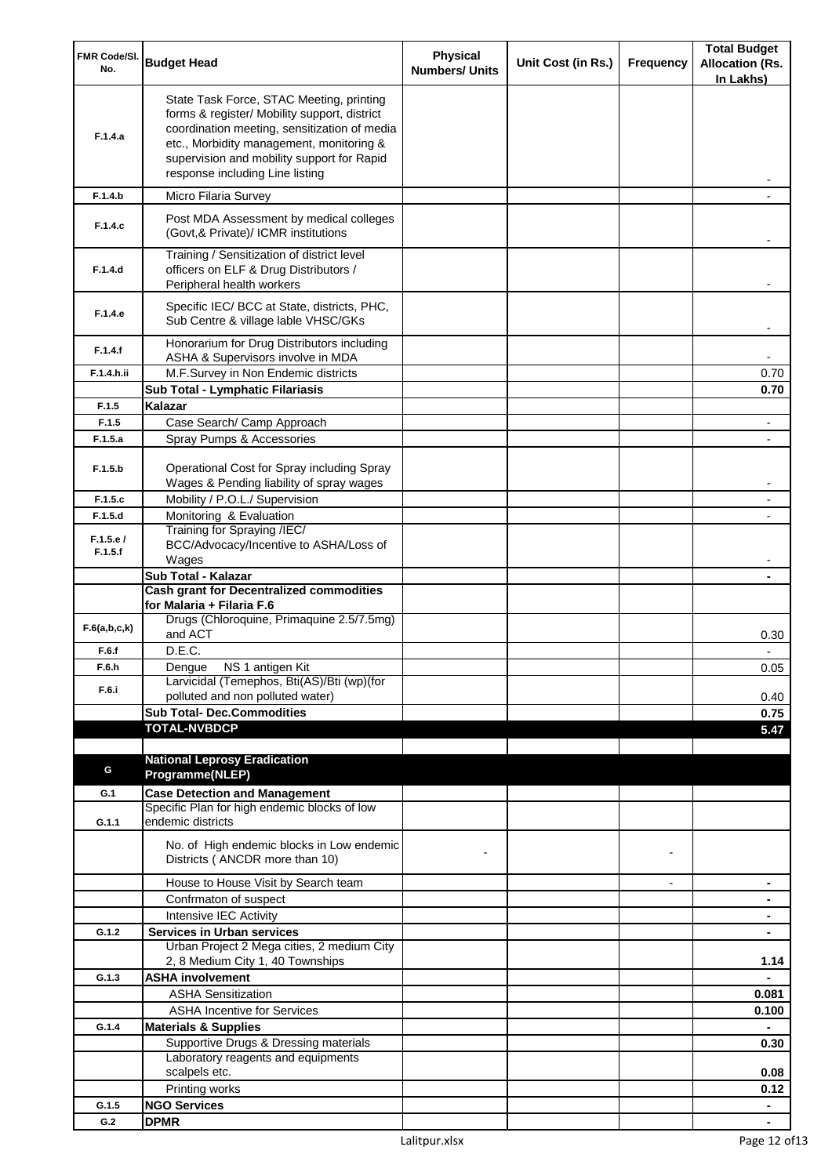| FMR Code/SI.<br>No. | <b>Budget Head</b>                                                                                                                                                                                                                                                    | Physical<br><b>Numbers/ Units</b> | Unit Cost (in Rs.) | Frequency      | <b>Total Budget</b><br><b>Allocation (Rs.</b><br>In Lakhs) |
|---------------------|-----------------------------------------------------------------------------------------------------------------------------------------------------------------------------------------------------------------------------------------------------------------------|-----------------------------------|--------------------|----------------|------------------------------------------------------------|
| F.1.4.a             | State Task Force, STAC Meeting, printing<br>forms & register/ Mobility support, district<br>coordination meeting, sensitization of media<br>etc., Morbidity management, monitoring &<br>supervision and mobility support for Rapid<br>response including Line listing |                                   |                    |                |                                                            |
| F.1.4.b             | Micro Filaria Survey                                                                                                                                                                                                                                                  |                                   |                    |                |                                                            |
| F.1.4.c             | Post MDA Assessment by medical colleges<br>(Govt, & Private)/ ICMR institutions                                                                                                                                                                                       |                                   |                    |                |                                                            |
| F.1.4.d             | Training / Sensitization of district level<br>officers on ELF & Drug Distributors /<br>Peripheral health workers                                                                                                                                                      |                                   |                    |                |                                                            |
| F.1.4.e             | Specific IEC/ BCC at State, districts, PHC,<br>Sub Centre & village lable VHSC/GKs                                                                                                                                                                                    |                                   |                    |                |                                                            |
| F.1.4.f             | Honorarium for Drug Distributors including<br>ASHA & Supervisors involve in MDA                                                                                                                                                                                       |                                   |                    |                |                                                            |
| F.1.4.h.ii          | M.F.Survey in Non Endemic districts                                                                                                                                                                                                                                   |                                   |                    |                | 0.70                                                       |
| F.1.5               | Sub Total - Lymphatic Filariasis<br>Kalazar                                                                                                                                                                                                                           |                                   |                    |                | 0.70                                                       |
| F.1.5               | Case Search/ Camp Approach                                                                                                                                                                                                                                            |                                   |                    |                |                                                            |
| F.1.5.a             | Spray Pumps & Accessories                                                                                                                                                                                                                                             |                                   |                    |                |                                                            |
| F.1.5.b             | Operational Cost for Spray including Spray<br>Wages & Pending liability of spray wages                                                                                                                                                                                |                                   |                    |                |                                                            |
| F.1.5.c             | Mobility / P.O.L./ Supervision                                                                                                                                                                                                                                        |                                   |                    |                |                                                            |
| F.1.5.d             | Monitoring & Evaluation                                                                                                                                                                                                                                               |                                   |                    |                |                                                            |
| F.1.5.e/<br>F.1.5.f | Training for Spraying /IEC/<br>BCC/Advocacy/Incentive to ASHA/Loss of<br>Wages                                                                                                                                                                                        |                                   |                    |                |                                                            |
|                     | Sub Total - Kalazar                                                                                                                                                                                                                                                   |                                   |                    |                |                                                            |
|                     | <b>Cash grant for Decentralized commodities</b>                                                                                                                                                                                                                       |                                   |                    |                |                                                            |
|                     | for Malaria + Filaria F.6<br>Drugs (Chloroquine, Primaquine 2.5/7.5mg)                                                                                                                                                                                                |                                   |                    |                |                                                            |
| F.6(a,b,c,k)        | and ACT                                                                                                                                                                                                                                                               |                                   |                    |                | 0.30                                                       |
| F.6.f               | D.E.C.                                                                                                                                                                                                                                                                |                                   |                    |                |                                                            |
| F.6.h               | Dengue NS 1 antigen Kit<br>Larvicidal (Temephos, Bti(AS)/Bti (wp)(for                                                                                                                                                                                                 |                                   |                    |                | 0.05                                                       |
| F.6.i               | polluted and non polluted water)                                                                                                                                                                                                                                      |                                   |                    |                | 0.40                                                       |
|                     | <b>Sub Total- Dec.Commodities</b>                                                                                                                                                                                                                                     |                                   |                    |                | 0.75                                                       |
|                     | <b>TOTAL-NVBDCP</b>                                                                                                                                                                                                                                                   |                                   |                    |                | 5.47                                                       |
|                     |                                                                                                                                                                                                                                                                       |                                   |                    |                |                                                            |
| G                   | <b>National Leprosy Eradication</b><br>Programme(NLEP)                                                                                                                                                                                                                |                                   |                    |                |                                                            |
| G.1                 | <b>Case Detection and Management</b>                                                                                                                                                                                                                                  |                                   |                    |                |                                                            |
|                     | Specific Plan for high endemic blocks of low                                                                                                                                                                                                                          |                                   |                    |                |                                                            |
| G.1.1               | endemic districts                                                                                                                                                                                                                                                     |                                   |                    |                |                                                            |
|                     | No. of High endemic blocks in Low endemic<br>Districts (ANCDR more than 10)                                                                                                                                                                                           |                                   |                    |                |                                                            |
|                     | House to House Visit by Search team                                                                                                                                                                                                                                   |                                   |                    | $\blacksquare$ | ۰                                                          |
|                     | Confrmaton of suspect                                                                                                                                                                                                                                                 |                                   |                    |                | ۰                                                          |
|                     | Intensive IEC Activity                                                                                                                                                                                                                                                |                                   |                    |                | ٠                                                          |
| G.1.2               | <b>Services in Urban services</b><br>Urban Project 2 Mega cities, 2 medium City<br>2, 8 Medium City 1, 40 Townships                                                                                                                                                   |                                   |                    |                | $\blacksquare$<br>1.14                                     |
| G.1.3               | <b>ASHA involvement</b>                                                                                                                                                                                                                                               |                                   |                    |                |                                                            |
|                     | <b>ASHA Sensitization</b>                                                                                                                                                                                                                                             |                                   |                    |                | 0.081                                                      |
|                     | <b>ASHA Incentive for Services</b>                                                                                                                                                                                                                                    |                                   |                    |                | 0.100                                                      |
| G.1.4               | <b>Materials &amp; Supplies</b>                                                                                                                                                                                                                                       |                                   |                    |                |                                                            |
|                     | Supportive Drugs & Dressing materials<br>Laboratory reagents and equipments                                                                                                                                                                                           |                                   |                    |                | 0.30                                                       |
|                     | scalpels etc.                                                                                                                                                                                                                                                         |                                   |                    |                | 0.08                                                       |
|                     | Printing works                                                                                                                                                                                                                                                        |                                   |                    |                | 0.12                                                       |
| G.1.5               | <b>NGO Services</b>                                                                                                                                                                                                                                                   |                                   |                    |                | $\blacksquare$                                             |
| G.2                 | <b>DPMR</b>                                                                                                                                                                                                                                                           |                                   |                    |                | $\blacksquare$                                             |